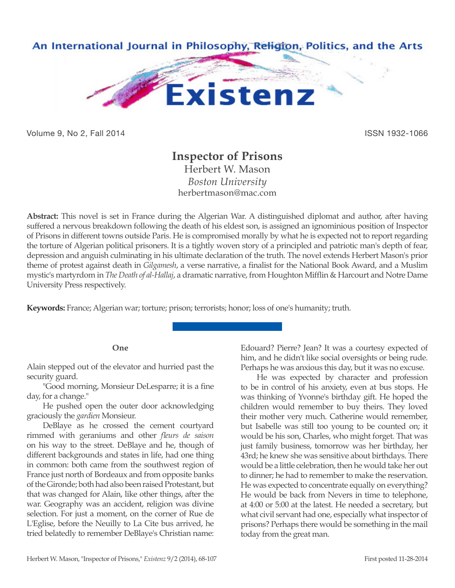

Volume 9, No 2, Fall 2014 **ISSN 1932-1066** 

# **Inspector of Prisons**

Herbert W. Mason *Boston University* herbertmason@mac.com

**Abstract:** This novel is set in France during the Algerian War. A distinguished diplomat and author, after having suffered a nervous breakdown following the death of his eldest son, is assigned an ignominious position of Inspector of Prisons in different towns outside Paris. He is compromised morally by what he is expected not to report regarding the torture of Algerian political prisoners. It is a tightly woven story of a principled and patriotic man's depth of fear, depression and anguish culminating in his ultimate declaration of the truth. The novel extends Herbert Mason's prior theme of protest against death in *Gilgamesh*, a verse narrative, a finalist for the National Book Award, and a Muslim mystic's martyrdom in *The Death of al-Hallaj*, a dramatic narrative, from Houghton Mifflin & Harcourt and Notre Dame University Press respectively.

**Keywords:** France; Algerian war; torture; prison; terrorists; honor; loss of one's humanity; truth.

# **One**

Alain stepped out of the elevator and hurried past the security guard.

"Good morning, Monsieur DeLesparre; it is a fine day, for a change."

He pushed open the outer door acknowledging graciously the *gardien* Monsieur.

DeBlaye as he crossed the cement courtyard rimmed with geraniums and other *fleurs de saison*  on his way to the street. DeBlaye and he, though of different backgrounds and states in life, had one thing in common: both came from the southwest region of France just north of Bordeaux and from opposite banks of the Gironde; both had also been raised Protestant, but that was changed for Alain, like other things, after the war. Geography was an accident, religion was divine selection. For just a moment, on the corner of Rue de L'Eglise, before the Neuilly to La Cite bus arrived, he tried belatedly to remember DeBlaye's Christian name:

Edouard? Pierre? Jean? It was a courtesy expected of him, and he didn't like social oversights or being rude. Perhaps he was anxious this day, but it was no excuse.

He was expected by character and profession to be in control of his anxiety, even at bus stops. He was thinking of Yvonne's birthday gift. He hoped the children would remember to buy theirs. They loved their mother very much. Catherine would remember, but Isabelle was still too young to be counted on; it would be his son, Charles, who might forget. That was just family business, tomorrow was her birthday, her 43rd; he knew she was sensitive about birthdays. There would be a little celebration, then he would take her out to dinner; he had to remember to make the reservation. He was expected to concentrate equally on everything? He would be back from Nevers in time to telephone, at 4:00 or 5:00 at the latest. He needed a secretary, but what civil servant had one, especially what inspector of prisons? Perhaps there would be something in the mail today from the great man.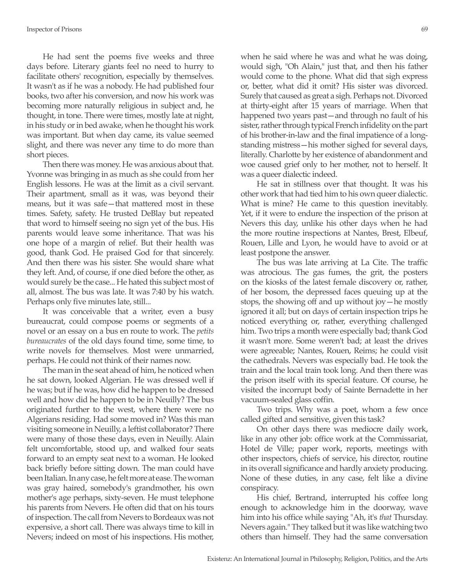He had sent the poems five weeks and three days before. Literary giants feel no need to hurry to facilitate others' recognition, especially by themselves. It wasn't as if he was a nobody. He had published four books, two after his conversion, and now his work was becoming more naturally religious in subject and, he thought, in tone. There were times, mostly late at night, in his study or in bed awake, when he thought his work was important. But when day came, its value seemed slight, and there was never any time to do more than short pieces.

Then there was money. He was anxious about that. Yvonne was bringing in as much as she could from her English lessons. He was at the limit as a civil servant. Their apartment, small as it was, was beyond their means, but it was safe—that mattered most in these times. Safety, safety. He trusted DeBlay but repeated that word to himself seeing no sign yet of the bus. His parents would leave some inheritance. That was his one hope of a margin of relief. But their health was good, thank God. He praised God for that sincerely. And then there was his sister. She would share what they left. And, of course, if one died before the other, as would surely be the case... He hated this subject most of all, almost. The bus was late. It was 7:40 by his watch. Perhaps only five minutes late, still...

It was conceivable that a writer, even a busy bureaucrat, could compose poems or segments of a novel or an essay on a bus en route to work. The *petits bureaucrates* of the old days found time, some time, to write novels for themselves. Most were unmarried, perhaps. He could not think of their names now.

The man in the seat ahead of him, he noticed when he sat down, looked Algerian. He was dressed well if he was; but if he was, how did he happen to be dressed well and how did he happen to be in Neuilly? The bus originated further to the west, where there were no Algerians residing. Had some moved in? Was this man visiting someone in Neuilly, a leftist collaborator? There were many of those these days, even in Neuilly. Alain felt uncomfortable, stood up, and walked four seats forward to an empty seat next to a woman. He looked back briefly before sitting down. The man could have been Italian. In any case, he felt more at ease. The woman was gray haired, somebody's grandmother, his own mother's age perhaps, sixty-seven. He must telephone his parents from Nevers. He often did that on his tours of inspection. The call from Nevers to Bordeaux was not expensive, a short call. There was always time to kill in Nevers; indeed on most of his inspections. His mother,

when he said where he was and what he was doing, would sigh, "Oh Alain," just that, and then his father would come to the phone. What did that sigh express or, better, what did it omit? His sister was divorced. Surely that caused as great a sigh. Perhaps not. Divorced at thirty-eight after 15 years of marriage. When that happened two years past—and through no fault of his sister, rather through typical French infidelity on the part of his brother-in-law and the final impatience of a longstanding mistress—his mother sighed for several days, literally. Charlotte by her existence of abandonment and woe caused grief only to her mother, not to herself. It was a queer dialectic indeed.

He sat in stillness over that thought. It was his other work that had tied him to his own queer dialectic. What is mine? He came to this question inevitably. Yet, if it were to endure the inspection of the prison at Nevers this day, unlike his other days when he had the more routine inspections at Nantes, Brest, Elbeuf, Rouen, Lille and Lyon, he would have to avoid or at least postpone the answer.

The bus was late arriving at La Cite. The traffic was atrocious. The gas fumes, the grit, the posters on the kiosks of the latest female discovery or, rather, of her bosom, the depressed faces queuing up at the stops, the showing off and up without joy—he mostly ignored it all; but on days of certain inspection trips he noticed everything or, rather, everything challenged him. Two trips a month were especially bad; thank God it wasn't more. Some weren't bad; at least the drives were agreeable; Nantes, Rouen, Reims; he could visit the cathedrals. Nevers was especially bad. He took the train and the local train took long. And then there was the prison itself with its special feature. Of course, he visited the incorrupt body of Sainte Bernadette in her vacuum-sealed glass coffin.

Two trips. Why was a poet, whom a few once called gifted and sensitive, given this task?

On other days there was mediocre daily work, like in any other job: office work at the Commissariat, Hotel de Ville; paper work, reports, meetings with other inspectors, chiefs of service, his director, routine in its overall significance and hardly anxiety producing. None of these duties, in any case, felt like a divine conspiracy.

His chief, Bertrand, interrupted his coffee long enough to acknowledge him in the doorway, wave him into his office while saying "Ah, it's *that* Thursday. Nevers again." They talked but it was like watching two others than himself. They had the same conversation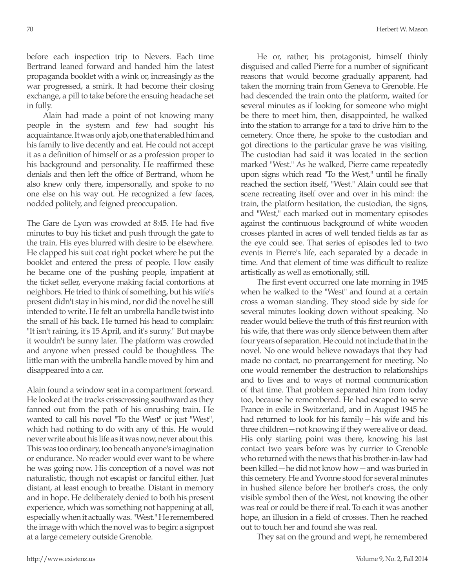before each inspection trip to Nevers. Each time Bertrand leaned forward and handed him the latest propaganda booklet with a wink or, increasingly as the war progressed, a smirk. It had become their closing exchange, a pill to take before the ensuing headache set in fully.

Alain had made a point of not knowing many people in the system and few had sought his acquaintance. It was only a job, one that enabled him and his family to live decently and eat. He could not accept it as a definition of himself or as a profession proper to his background and personality. He reaffirmed these denials and then left the office of Bertrand, whom he also knew only there, impersonally, and spoke to no one else on his way out. He recognized a few faces, nodded politely, and feigned preoccupation.

The Gare de Lyon was crowded at 8:45. He had five minutes to buy his ticket and push through the gate to the train. His eyes blurred with desire to be elsewhere. He clapped his suit coat right pocket where he put the booklet and entered the press of people. How easily he became one of the pushing people, impatient at the ticket seller, everyone making facial contortions at neighbors. He tried to think of something, but his wife's present didn't stay in his mind, nor did the novel he still intended to write. He felt an umbrella handle twist into the small of his back. He turned his head to complain: "It isn't raining, it's 15 April, and it's sunny." But maybe it wouldn't be sunny later. The platform was crowded and anyone when pressed could be thoughtless. The little man with the umbrella handle moved by him and disappeared into a car.

Alain found a window seat in a compartment forward. He looked at the tracks crisscrossing southward as they fanned out from the path of his onrushing train. He wanted to call his novel "To the West" or just "West", which had nothing to do with any of this. He would never write about his life as it was now, never about this. This was too ordinary, too beneath anyone's imagination or endurance. No reader would ever want to be where he was going now. His conception of a novel was not naturalistic, though not escapist or fanciful either. Just distant, at least enough to breathe. Distant in memory and in hope. He deliberately denied to both his present experience, which was something not happening at all, especially when it actually was. "West." He remembered the image with which the novel was to begin: a signpost at a large cemetery outside Grenoble.

He or, rather, his protagonist, himself thinly disguised and called Pierre for a number of significant reasons that would become gradually apparent, had taken the morning train from Geneva to Grenoble. He had descended the train onto the platform, waited for several minutes as if looking for someone who might be there to meet him, then, disappointed, he walked into the station to arrange for a taxi to drive him to the cemetery. Once there, he spoke to the custodian and got directions to the particular grave he was visiting. The custodian had said it was located in the section marked "West." As he walked, Pierre came repeatedly upon signs which read "To the West," until he finally reached the section itself, "West." Alain could see that scene recreating itself over and over in his mind: the train, the platform hesitation, the custodian, the signs, and "West," each marked out in momentary episodes against the continuous background of white wooden crosses planted in acres of well tended fields as far as the eye could see. That series of episodes led to two events in Pierre's life, each separated by a decade in time. And that element of time was difficult to realize artistically as well as emotionally, still.

The first event occurred one late morning in 1945 when he walked to the "West" and found at a certain cross a woman standing. They stood side by side for several minutes looking down without speaking. No reader would believe the truth of this first reunion with his wife, that there was only silence between them after four years of separation. He could not include that in the novel. No one would believe nowadays that they had made no contact, no prearrangement for meeting. No one would remember the destruction to relationships and to lives and to ways of normal communication of that time. That problem separated him from today too, because he remembered. He had escaped to serve France in exile in Switzerland, and in August 1945 he had returned to look for his family—his wife and his three children—not knowing if they were alive or dead. His only starting point was there, knowing his last contact two years before was by currier to Grenoble who returned with the news that his brother-in-law had been killed—he did not know how—and was buried in this cemetery. He and Yvonne stood for several minutes in hushed silence before her brother's cross, the only visible symbol then of the West, not knowing the other was real or could be there if real. To each it was another hope, an illusion in a field of crosses. Then he reached out to touch her and found she was real.

They sat on the ground and wept, he remembered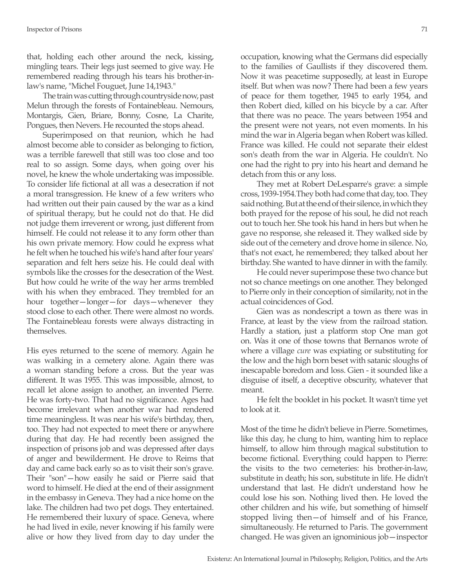that, holding each other around the neck, kissing, mingling tears. Their legs just seemed to give way. He remembered reading through his tears his brother-inlaw's name, "Michel Fouguet, June 14,1943."

The train was cutting through countryside now, past Melun through the forests of Fontainebleau. Nemours, Montargis, Gien, Briare, Bonny, Cosne, La Charite, Pongues, then Nevers. He recounted the stops ahead.

Superimposed on that reunion, which he had almost become able to consider as belonging to fiction, was a terrible farewell that still was too close and too real to so assign. Some days, when going over his novel, he knew the whole undertaking was impossible. To consider life fictional at all was a desecration if not a moral transgression. He knew of a few writers who had written out their pain caused by the war as a kind of spiritual therapy, but he could not do that. He did not judge them irreverent or wrong, just different from himself. He could not release it to any form other than his own private memory. How could he express what he felt when he touched his wife's hand after four years' separation and felt hers seize his. He could deal with symbols like the crosses for the desecration of the West. But how could he write of the way her arms trembled with his when they embraced. They trembled for an hour together—longer—for days—whenever they stood close to each other. There were almost no words. The Fontainebleau forests were always distracting in themselves.

His eyes returned to the scene of memory. Again he was walking in a cemetery alone. Again there was a woman standing before a cross. But the year was different. It was 1955. This was impossible, almost, to recall let alone assign to another, an invented Pierre. He was forty-two. That had no significance. Ages had become irrelevant when another war had rendered time meaningless. It was near his wife's birthday, then, too. They had not expected to meet there or anywhere during that day. He had recently been assigned the inspection of prisons job and was depressed after days of anger and bewilderment. He drove to Reims that day and came back early so as to visit their son's grave. Their "son"—how easily he said or Pierre said that word to himself. He died at the end of their assignment in the embassy in Geneva. They had a nice home on the lake. The children had two pet dogs. They entertained. He remembered their luxury of space. Geneva, where he had lived in exile, never knowing if his family were alive or how they lived from day to day under the occupation, knowing what the Germans did especially to the families of Gaullists if they discovered them. Now it was peacetime supposedly, at least in Europe itself. But when was now? There had been a few years of peace for them together, 1945 to early 1954, and then Robert died, killed on his bicycle by a car. After that there was no peace. The years between 1954 and the present were not years, not even moments. In his mind the war in Algeria began when Robert was killed. France was killed. He could not separate their eldest son's death from the war in Algeria. He couldn't. No one had the right to pry into his heart and demand he detach from this or any loss.

They met at Robert DeLesparre's grave: a simple cross, 1939-1954.They both had come that day, too. They said nothing. But at the end of their silence, in which they both prayed for the repose of his soul, he did not reach out to touch her. She took his hand in hers but when he gave no response, she released it. They walked side by side out of the cemetery and drove home in silence. No, that's not exact, he remembered; they talked about her birthday. She wanted to have dinner in with the family.

He could never superimpose these two chance but not so chance meetings on one another. They belonged to Pierre only in their conception of similarity, not in the actual coincidences of God.

Gien was as nondescript a town as there was in France, at least by the view from the railroad station. Hardly a station, just a platform stop One man got on. Was it one of those towns that Bernanos wrote of where a village *cure* was expiating or substituting for the low and the high born beset with satanic sloughs of inescapable boredom and loss. Gien - it sounded like a disguise of itself, a deceptive obscurity, whatever that meant.

He felt the booklet in his pocket. It wasn't time yet to look at it.

Most of the time he didn't believe in Pierre. Sometimes, like this day, he clung to him, wanting him to replace himself, to allow him through magical substitution to become fictional. Everything could happen to Pierre: the visits to the two cemeteries: his brother-in-law, substitute in death; his son, substitute in life. He didn't understand that last. He didn't understand how he could lose his son. Nothing lived then. He loved the other children and his wife, but something of himself stopped living then—of himself and of his France, simultaneously. He returned to Paris. The government changed. He was given an ignominious job—inspector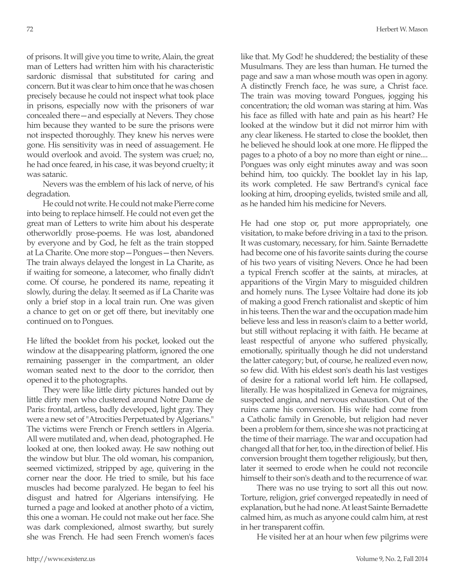of prisons. It will give you time to write, Alain, the great man of Letters had written him with his characteristic sardonic dismissal that substituted for caring and concern. But it was clear to him once that he was chosen precisely because he could not inspect what took place in prisons, especially now with the prisoners of war concealed there—and especially at Nevers. They chose him because they wanted to be sure the prisons were not inspected thoroughly. They knew his nerves were gone. His sensitivity was in need of assuagement. He would overlook and avoid. The system was cruel; no, he had once feared, in his case, it was beyond cruelty; it was satanic.

Nevers was the emblem of his lack of nerve, of his degradation.

He could not write. He could not make Pierre come into being to replace himself. He could not even get the great man of Letters to write him about his desperate otherworldly prose-poems. He was lost, abandoned by everyone and by God, he felt as the train stopped at La Charite. One more stop—Pongues—then Nevers. The train always delayed the longest in La Charite, as if waiting for someone, a latecomer, who finally didn't come. Of course, he pondered its name, repeating it slowly, during the delay. It seemed as if La Charite was only a brief stop in a local train run. One was given a chance to get on or get off there, but inevitably one continued on to Pongues.

He lifted the booklet from his pocket, looked out the window at the disappearing platform, ignored the one remaining passenger in the compartment, an older woman seated next to the door to the corridor, then opened it to the photographs.

They were like little dirty pictures handed out by little dirty men who clustered around Notre Dame de Paris: frontal, artless, badly developed, light gray. They were a new set of "Atrocities Perpetuated by Algerians." The victims were French or French settlers in Algeria. All were mutilated and, when dead, photographed. He looked at one, then looked away. He saw nothing out the window but blur. The old woman, his companion, seemed victimized, stripped by age, quivering in the corner near the door. He tried to smile, but his face muscles had become paralyzed. He began to feel his disgust and hatred for Algerians intensifying. He turned a page and looked at another photo of a victim, this one a woman. He could not make out her face. She was dark complexioned, almost swarthy, but surely she was French. He had seen French women's faces

like that. My God! he shuddered; the bestiality of these Musulmans. They are less than human. He turned the page and saw a man whose mouth was open in agony. A distinctly French face, he was sure, a Christ face. The train was moving toward Pongues, jogging his concentration; the old woman was staring at him. Was his face as filled with hate and pain as his heart? He looked at the window but it did not mirror him with any clear likeness. He started to close the booklet, then he believed he should look at one more. He flipped the pages to a photo of a boy no more than eight or nine.... Pongues was only eight minutes away and was soon behind him, too quickly. The booklet lay in his lap, its work completed. He saw Bertrand's cynical face looking at him, drooping eyelids, twisted smile and all, as he handed him his medicine for Nevers.

He had one stop or, put more appropriately, one visitation, to make before driving in a taxi to the prison. It was customary, necessary, for him. Sainte Bernadette had become one of his favorite saints during the course of his two years of visiting Nevers. Once he had been a typical French scoffer at the saints, at miracles, at apparitions of the Virgin Mary to misguided children and homely nuns. The Lysee Voltaire had done its job of making a good French rationalist and skeptic of him in his teens. Then the war and the occupation made him believe less and less in reason's claim to a better world, but still without replacing it with faith. He became at least respectful of anyone who suffered physically, emotionally, spiritually though he did not understand the latter category; but, of course, he realized even now, so few did. With his eldest son's death his last vestiges of desire for a rational world left him. He collapsed, literally. He was hospitalized in Geneva for migraines, suspected angina, and nervous exhaustion. Out of the ruins came his conversion. His wife had come from a Catholic family in Grenoble, but religion had never been a problem for them, since she was not practicing at the time of their marriage. The war and occupation had changed all that for her, too, in the direction of belief. His conversion brought them together religiously, but then, later it seemed to erode when he could not reconcile himself to their son's death and to the recurrence of war.

There was no use trying to sort all this out now. Torture, religion, grief converged repeatedly in need of explanation, but he had none. At least Sainte Bernadette calmed him, as much as anyone could calm him, at rest in her transparent coffin.

He visited her at an hour when few pilgrims were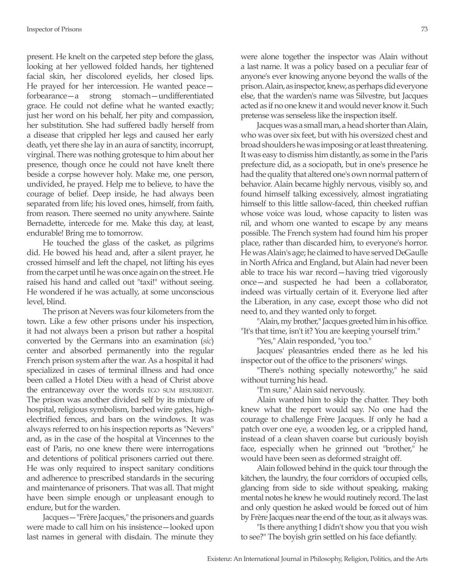present. He knelt on the carpeted step before the glass, looking at her yellowed folded hands, her tightened facial skin, her discolored eyelids, her closed lips. He prayed for her intercession. He wanted peace forbearance—a strong stomach—undifferentiated grace. He could not define what he wanted exactly; just her word on his behalf, her pity and compassion, her substitution. She had suffered badly herself from a disease that crippled her legs and caused her early death, yet there she lay in an aura of sanctity, incorrupt, virginal. There was nothing grotesque to him about her presence, though once he could not have knelt there beside a corpse however holy. Make me, one person, undivided, he prayed. Help me to believe, to have the courage of belief. Deep inside, he had always been separated from life; his loved ones, himself, from faith, from reason. There seemed no unity anywhere. Sainte Bernadette, intercede for me. Make this day, at least, endurable! Bring me to tomorrow.

He touched the glass of the casket, as pilgrims did. He bowed his head and, after a silent prayer, he crossed himself and left the chapel, not lifting his eyes from the carpet until he was once again on the street. He raised his hand and called out "taxi!" without seeing. He wondered if he was actually, at some unconscious level, blind.

The prison at Nevers was four kilometers from the town. Like a few other prisons under his inspection, it had not always been a prison but rather a hospital converted by the Germans into an examination (*sic*) center and absorbed permanently into the regular French prison system after the war. As a hospital it had specialized in cases of terminal illness and had once been called a Hotel Dieu with a head of Christ above the entranceway over the words EGO SUM RESURREXIT. The prison was another divided self by its mixture of hospital, religious symbolism, barbed wire gates, highelectrified fences, and bars on the windows. It was always referred to on his inspection reports as "Nevers" and, as in the case of the hospital at Vincennes to the east of Paris, no one knew there were interrogations and detentions of political prisoners carried out there. He was only required to inspect sanitary conditions and adherence to prescribed standards in the securing and maintenance of prisoners. That was all. That might have been simple enough or unpleasant enough to endure, but for the warden.

Jacques—"Frère Jacques," the prisoners and guards were made to call him on his insistence—looked upon last names in general with disdain. The minute they were alone together the inspector was Alain without a last name. It was a policy based on a peculiar fear of anyone's ever knowing anyone beyond the walls of the prison. Alain, as inspector, knew, as perhaps did everyone else, that the warden's name was Silvestre, but Jacques acted as if no one knew it and would never know it. Such pretense was senseless like the inspection itself.

Jacques was a small man, a head shorter than Alain, who was over six feet, but with his oversized chest and broad shoulders he was imposing or at least threatening. It was easy to dismiss him distantly, as some in the Paris prefecture did, as a sociopath, but in one's presence he had the quality that altered one's own normal pattern of behavior. Alain became highly nervous, visibly so, and found himself talking excessively, almost ingratiating himself to this little sallow-faced, thin cheeked ruffian whose voice was loud, whose capacity to listen was nil, and whom one wanted to escape by any means possible. The French system had found him his proper place, rather than discarded him, to everyone's horror. He was Alain's age; he claimed to have served DeGaulle in North Africa and England, but Alain had never been able to trace his war record—having tried vigorously once—and suspected he had been a collaborator, indeed was virtually certain of it. Everyone lied after the Liberation, in any case, except those who did not need to, and they wanted only to forget.

"Alain, my brother," Jacques greeted him in his office. "It's that time, isn't it? You are keeping yourself trim."

"Yes," Alain responded, "you too."

Jacques' pleasantries ended there as he led his inspector out of the office to the prisoners' wings.

"There's nothing specially noteworthy," he said without turning his head.

"I'm sure," Alain said nervously.

Alain wanted him to skip the chatter. They both knew what the report would say. No one had the courage to challenge Frère Jacques. If only he had a patch over one eye, a wooden leg, or a crippled hand, instead of a clean shaven coarse but curiously boyish face, especially when he grinned out "brother," he would have been seen as deformed straight off.

Alain followed behind in the quick tour through the kitchen, the laundry, the four corridors of occupied cells, glancing from side to side without speaking, making mental notes he knew he would routinely record. The last and only question he asked would be forced out of him by Frère Jacques near the end of the tour, as it always was.

"Is there anything I didn't show you that you wish to see?" The boyish grin settled on his face defiantly.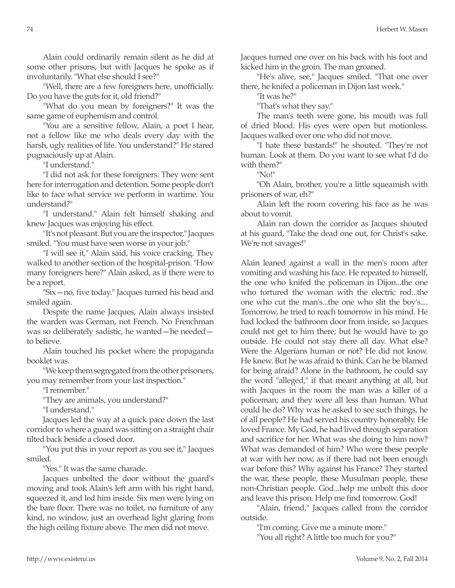Alain could ordinarily remain silent as he did at some other prisons, but with Jacques he spoke as if involuntarily. "What else should I see?"

"Well, there are a few foreigners here, unofficially. Do you have the guts for it, old friend?"

"What do you mean by foreigners?" It was the same game of euphemism and control.

"You are a sensitive fellow, Alain, a poet I hear, not a fellow like me who deals every day with the harsh, ugly realities of life. You understand?" He stared pugnaciously up at Alain.

"I understand."

"I did not ask for these foreigners. They were sent here for interrogation and detention. Some people don't like to face what service we perform in wartime. You understand?"

"I understand." Alain felt himself shaking and knew Jacques was enjoying his effect.

"It's not pleasant. But you are the inspector," Jacques smiled. "You must have seen worse in your job."

"I will see it," Alain said, his voice cracking. They walked to another section of the hospital-prison. "How many foreigners here?" Alain asked, as if there were to be a report.

"Six—no, five today." Jacques turned his head and smiled again.

Despite the name Jacques, Alain always insisted the warden was German, not French. No Frenchman was so deliberately sadistic, he wanted—he needed to believe.

Alain touched his pocket where the propaganda booklet was.

"We keep them segregated from the other prisoners, you may remember from your last inspection."

"I remember."

"They are animals, you understand?"

"I understand."

Jacques led the way at a quick pace down the last corridor to where a guard was sitting on a straight chair tilted back beside a closed door.

"You put this in your report as you see it," Jacques smiled.

"Yes." It was the same charade.

Jacques unbolted the door without the guard's moving and took Alain's left arm with his right hand, squeezed it, and led him inside. Six men were lying on the bare floor. There was no toilet, no furniture of any kind, no window, just an overhead light glaring from the high ceiling fixture above. The men did not move.

Jacques turned one over on his back with his foot and kicked him in the groin. The man groaned.

"He's alive, see," Jacques smiled. "That one over there, he knifed a policeman in Dijon last week."

"It was he?"

"That's what they say."

The man's teeth were gone, his mouth was full of dried blood. His eyes were open but motionless. Jacques walked over one who did not move.

"I hate these bastards!" he shouted. "They're not human. Look at them. Do you want to see what I'd do with them?"

"No!"

"Oh Alain, brother, you're a little squeamish with prisoners of war, eh?"

Alain left the room covering his face as he was about to vomit.

Alain ran down the corridor as Jacques shouted at his guard, "Take the dead one out, for Christ's sake. We're not savages!"

Alain leaned against a wall in the men's room after vomiting and washing his face. He repeated to himself, the one who knifed the policeman in Dijon...the one who tortured the woman with the electric rod...the one who cut the man's...the one who slit the boy's.... Tomorrow, he tried to reach tomorrow in his mind. He had locked the bathroom door from inside, so Jacques could not get to him there; but he would have to go outside. He could not stay there all day. What else? Were the Algerians human or not? He did not know. He knew. But he was afraid to think. Can he be blamed for being afraid? Alone in the bathroom, he could say the word "alleged," if that meant anything at all, but with Jacques in the room the man was a killer of a policeman; and they were all less than human. What could he do? Why was he asked to see such things, he of all people? He had served his country honorably. He loved France. My God, he had lived through separation and sacrifice for her. What was she doing to him now? What was demanded of him? Who were these people at war with her now, as if there had not been enough war before this? Why against his France? They started the war, these people, these Musulman people, these non-Christian people. God...help me unbolt this door and leave this prison. Help me find tomorrow. God!

"Alain, friend," Jacques called from the corridor outside.

"I'm coming. Give me a minute more." "You all right? A little too much for you?"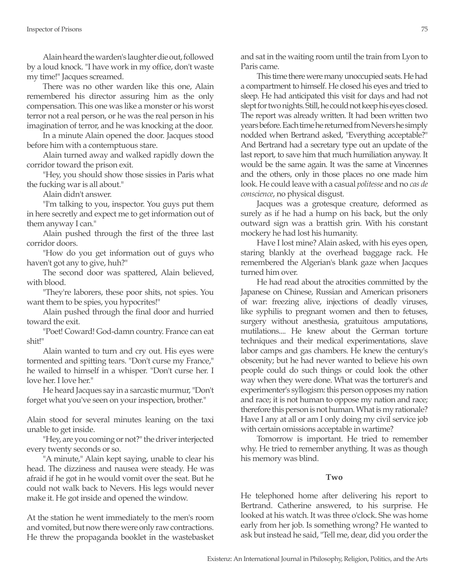Alain heard the warden's laughter die out, followed by a loud knock. "I have work in my office, don't waste my time!" Jacques screamed.

There was no other warden like this one, Alain remembered his director assuring him as the only compensation. This one was like a monster or his worst terror not a real person, or he was the real person in his imagination of terror, and he was knocking at the door.

In a minute Alain opened the door. Jacques stood before him with a contemptuous stare.

Alain turned away and walked rapidly down the corridor toward the prison exit.

"Hey, you should show those sissies in Paris what the fucking war is all about."

Alain didn't answer.

"I'm talking to you, inspector. You guys put them in here secretly and expect me to get information out of them anyway I can."

Alain pushed through the first of the three last corridor doors.

"How do you get information out of guys who haven't got any to give, huh?"

The second door was spattered, Alain believed, with blood.

"They're laborers, these poor shits, not spies. You want them to be spies, you hypocrites!"

Alain pushed through the final door and hurried toward the exit.

"Poet! Coward! God-damn country. France can eat shit!"

Alain wanted to turn and cry out. His eyes were tormented and spitting tears. "Don't curse my France," he wailed to himself in a whisper. "Don't curse her. I love her. I love her."

He heard Jacques say in a sarcastic murmur, "Don't forget what you've seen on your inspection, brother."

Alain stood for several minutes leaning on the taxi unable to get inside.

"Hey, are you coming or not?" the driver interjected every twenty seconds or so.

"A minute," Alain kept saying, unable to clear his head. The dizziness and nausea were steady. He was afraid if he got in he would vomit over the seat. But he could not walk back to Nevers. His legs would never make it. He got inside and opened the window.

At the station he went immediately to the men's room and vomited, but now there were only raw contractions. He threw the propaganda booklet in the wastebasket and sat in the waiting room until the train from Lyon to Paris came.

This time there were many unoccupied seats. He had a compartment to himself. He closed his eyes and tried to sleep. He had anticipated this visit for days and had not slept for two nights. Still, he could not keep his eyes closed. The report was already written. It had been written two years before. Each time he returned from Nevers he simply nodded when Bertrand asked, "Everything acceptable?" And Bertrand had a secretary type out an update of the last report, to save him that much humiliation anyway. It would be the same again. It was the same at Vincennes and the others, only in those places no one made him look. He could leave with a casual *politesse* and no *cas de conscience*, no physical disgust.

Jacques was a grotesque creature, deformed as surely as if he had a hump on his back, but the only outward sign was a brattish grin. With his constant mockery he had lost his humanity.

Have I lost mine? Alain asked, with his eyes open, staring blankly at the overhead baggage rack. He remembered the Algerian's blank gaze when Jacques turned him over.

He had read about the atrocities committed by the Japanese on Chinese, Russian and American prisoners of war: freezing alive, injections of deadly viruses, like syphilis to pregnant women and then to fetuses, surgery without anesthesia, gratuitous amputations, mutilations.... He knew about the German torture techniques and their medical experimentations, slave labor camps and gas chambers. He knew the century's obscenity; but he had never wanted to believe his own people could do such things or could look the other way when they were done. What was the torturer's and experimenter's syllogism: this person opposes my nation and race; it is not human to oppose my nation and race; therefore this person is not human. What is my rationale? Have I any at all or am I only doing my civil service job with certain omissions acceptable in wartime?

Tomorrow is important. He tried to remember why. He tried to remember anything. It was as though his memory was blind.

## **Two**

He telephoned home after delivering his report to Bertrand. Catherine answered, to his surprise. He looked at his watch. It was three o'clock. She was home early from her job. Is something wrong? He wanted to ask but instead he said, "Tell me, dear, did you order the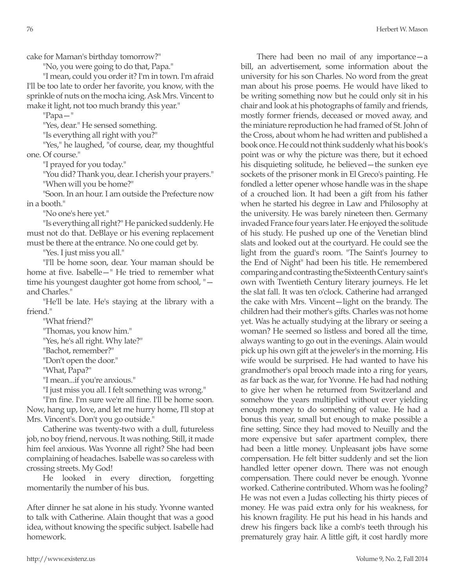76 Herbert W. Mason

cake for Maman's birthday tomorrow?"

"No, you were going to do that, Papa."

"I mean, could you order it? I'm in town. I'm afraid I'll be too late to order her favorite, you know, with the sprinkle of nuts on the mocha icing. Ask Mrs. Vincent to make it light, not too much brandy this year."

"Papa—"

"Yes, dear." He sensed something.

"Is everything all right with you?"

"Yes," he laughed, "of course, dear, my thoughtful one. Of course."

"I prayed for you today."

"You did? Thank you, dear. I cherish your prayers." "When will you be home?"

"Soon. In an hour. I am outside the Prefecture now in a booth."

"No one's here yet."

"Is everything all right?" He panicked suddenly. He must not do that. DeBlaye or his evening replacement must be there at the entrance. No one could get by.

"Yes. I just miss you all."

"I'll be home soon, dear. Your maman should be home at five. Isabelle—" He tried to remember what time his youngest daughter got home from school, " and Charles."

"He'll be late. He's staying at the library with a friend."

"What friend?"

"Thomas, you know him."

"Yes, he's all right. Why late?"

"Bachot, remember?"

"Don't open the door."

"What, Papa?"

"I mean...if you're anxious."

"I just miss you all. I felt something was wrong."

"I'm fine. I'm sure we're all fine. I'll be home soon. Now, hang up, love, and let me hurry home, I'll stop at Mrs. Vincent's. Don't you go outside."

Catherine was twenty-two with a dull, futureless job, no boy friend, nervous. It was nothing. Still, it made him feel anxious. Was Yvonne all right? She had been complaining of headaches. Isabelle was so careless with crossing streets. My God!

He looked in every direction, forgetting momentarily the number of his bus.

After dinner he sat alone in his study. Yvonne wanted to talk with Catherine. Alain thought that was a good idea, without knowing the specific subject. Isabelle had homework.

There had been no mail of any importance—a bill, an advertisement, some information about the university for his son Charles. No word from the great man about his prose poems. He would have liked to be writing something now but he could only sit in his chair and look at his photographs of family and friends, mostly former friends, deceased or moved away, and the miniature reproduction he had framed of St. John of the Cross, about whom he had written and published a book once. He could not think suddenly what his book's point was or why the picture was there, but it echoed his disquieting solitude, he believed—the sunken eye sockets of the prisoner monk in El Greco's painting. He fondled a letter opener whose handle was in the shape of a crouched lion. It had been a gift from his father when he started his degree in Law and Philosophy at the university. He was barely nineteen then. Germany invaded France four years later. He enjoyed the solitude of his study. He pushed up one of the Venetian blind slats and looked out at the courtyard. He could see the light from the guard's room. "The Saint's Journey to the End of Night" had been his title. He remembered comparing and contrasting the Sixteenth Century saint's own with Twentieth Century literary journeys. He let the slat fall. It was ten o'clock. Catherine had arranged the cake with Mrs. Vincent—light on the brandy. The children had their mother's gifts. Charles was not home yet. Was he actually studying at the library or seeing a woman? He seemed so listless and bored all the time, always wanting to go out in the evenings. Alain would pick up his own gift at the jeweler's in the morning. His wife would be surprised. He had wanted to have his grandmother's opal brooch made into a ring for years, as far back as the war, for Yvonne. He had had nothing to give her when he returned from Switzerland and somehow the years multiplied without ever yielding enough money to do something of value. He had a bonus this year, small but enough to make possible a fine setting. Since they had moved to Neuilly and the more expensive but safer apartment complex, there had been a little money. Unpleasant jobs have some compensation. He felt bitter suddenly and set the lion handled letter opener down. There was not enough compensation. There could never be enough. Yvonne worked. Catherine contributed. Whom was he fooling? He was not even a Judas collecting his thirty pieces of money. He was paid extra only for his weakness, for his known fragility. He put his head in his hands and drew his fingers back like a comb's teeth through his prematurely gray hair. A little gift, it cost hardly more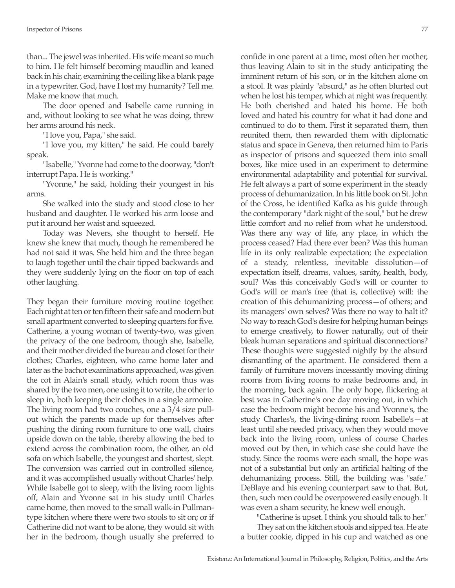than... The jewel was inherited. His wife meant so much to him. He felt himself becoming maudlin and leaned back in his chair, examining the ceiling like a blank page in a typewriter. God, have I lost my humanity? Tell me. Make me know that much.

The door opened and Isabelle came running in and, without looking to see what he was doing, threw her arms around his neck.

"I love you, Papa," she said.

"I love you, my kitten," he said. He could barely speak.

"Isabelle," Yvonne had come to the doorway, "don't interrupt Papa. He is working."

"Yvonne," he said, holding their youngest in his arms.

She walked into the study and stood close to her husband and daughter. He worked his arm loose and put it around her waist and squeezed.

Today was Nevers, she thought to herself. He knew she knew that much, though he remembered he had not said it was. She held him and the three began to laugh together until the chair tipped backwards and they were suddenly lying on the floor on top of each other laughing.

They began their furniture moving routine together. Each night at ten or ten fifteen their safe and modern but small apartment converted to sleeping quarters for five. Catherine, a young woman of twenty-two, was given the privacy of the one bedroom, though she, Isabelle, and their mother divided the bureau and closet for their clothes; Charles, eighteen, who came home later and later as the bachot examinations approached, was given the cot in Alain's small study, which room thus was shared by the two men, one using it to write, the other to sleep in, both keeping their clothes in a single armoire. The living room had two couches, one a 3/4 size pullout which the parents made up for themselves after pushing the dining room furniture to one wall, chairs upside down on the table, thereby allowing the bed to extend across the combination room, the other, an old sofa on which Isabelle, the youngest and shortest, slept. The conversion was carried out in controlled silence, and it was accomplished usually without Charles' help. While Isabelle got to sleep, with the living room lights off, Alain and Yvonne sat in his study until Charles came home, then moved to the small walk-in Pullmantype kitchen where there were two stools to sit on; or if Catherine did not want to be alone, they would sit with her in the bedroom, though usually she preferred to

confide in one parent at a time, most often her mother, thus leaving Alain to sit in the study anticipating the imminent return of his son, or in the kitchen alone on a stool. It was plainly "absurd," as he often blurted out when he lost his temper, which at night was frequently. He both cherished and hated his home. He both loved and hated his country for what it had done and continued to do to them. First it separated them, then reunited them, then rewarded them with diplomatic status and space in Geneva, then returned him to Paris as inspector of prisons and squeezed them into small boxes, like mice used in an experiment to determine environmental adaptability and potential for survival. He felt always a part of some experiment in the steady process of dehumanization. In his little book on St. John of the Cross, he identified Kafka as his guide through the contemporary "dark night of the soul," but he drew little comfort and no relief from what he understood. Was there any way of life, any place, in which the process ceased? Had there ever been? Was this human life in its only realizable expectation; the expectation of a steady, relentless, inevitable dissolution—of expectation itself, dreams, values, sanity, health, body, soul? Was this conceivably God's will or counter to God's will or man's free (that is, collective) will: the creation of this dehumanizing process—of others; and its managers' own selves? Was there no way to halt it? No way to reach God's desire for helping human beings to emerge creatively, to flower naturally, out of their bleak human separations and spiritual disconnections? These thoughts were suggested nightly by the absurd dismantling of the apartment. He considered them a family of furniture movers incessantly moving dining rooms from living rooms to make bedrooms and, in the morning, back again. The only hope, flickering at best was in Catherine's one day moving out, in which case the bedroom might become his and Yvonne's, the study Charles's, the living-dining room Isabelle's—at least until she needed privacy, when they would move back into the living room, unless of course Charles moved out by then, in which case she could have the study. Since the rooms were each small, the hope was not of a substantial but only an artificial halting of the dehumanizing process. Still, the building was "safe." DeBlaye and his evening counterpart saw to that. But, then, such men could be overpowered easily enough. It was even a sham security, he knew well enough.

"Catherine is upset. I think you should talk to her." They sat on the kitchen stools and sipped tea. He ate a butter cookie, dipped in his cup and watched as one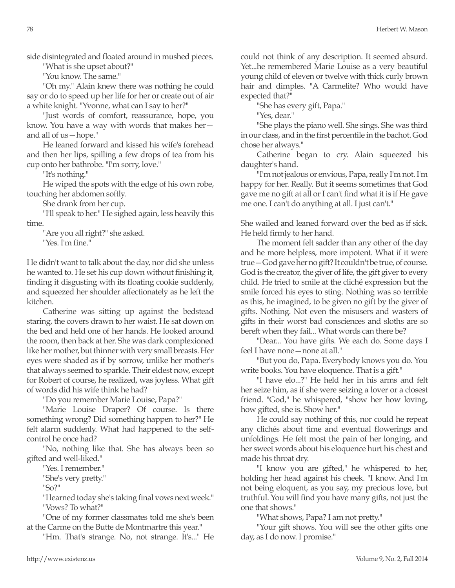side disintegrated and floated around in mushed pieces.

"What is she upset about?"

"You know. The same."

"Oh my." Alain knew there was nothing he could say or do to speed up her life for her or create out of air a white knight. "Yvonne, what can I say to her?"

"Just words of comfort, reassurance, hope, you know. You have a way with words that makes her and all of us—hope."

He leaned forward and kissed his wife's forehead and then her lips, spilling a few drops of tea from his cup onto her bathrobe. "I'm sorry, love."

"It's nothing."

He wiped the spots with the edge of his own robe, touching her abdomen softly.

She drank from her cup.

"I'll speak to her." He sighed again, less heavily this time.

"Are you all right?" she asked. "Yes. I'm fine."

He didn't want to talk about the day, nor did she unless he wanted to. He set his cup down without finishing it, finding it disgusting with its floating cookie suddenly, and squeezed her shoulder affectionately as he left the kitchen.

Catherine was sitting up against the bedstead staring, the covers drawn to her waist. He sat down on the bed and held one of her hands. He looked around the room, then back at her. She was dark complexioned like her mother, but thinner with very small breasts. Her eyes were shaded as if by sorrow, unlike her mother's that always seemed to sparkle. Their eldest now, except for Robert of course, he realized, was joyless. What gift of words did his wife think he had?

"Do you remember Marie Louise, Papa?"

"Marie Louise Draper? Of course. Is there something wrong? Did something happen to her?" He felt alarm suddenly. What had happened to the selfcontrol he once had?

"No, nothing like that. She has always been so gifted and well-liked."

"Yes. I remember."

"She's very pretty."

"So?"

"I learned today she's taking final vows next week." "Vows? To what?"

"One of my former classmates told me she's been at the Carme on the Butte de Montmartre this year."

"Hm. That's strange. No, not strange. It's..." He

could not think of any description. It seemed absurd. Yet...he remembered Marie Louise as a very beautiful young child of eleven or twelve with thick curly brown hair and dimples. "A Carmelite? Who would have expected that?"

"She has every gift, Papa."

"Yes, dear."

"She plays the piano well. She sings. She was third in our class, and in the first percentile in the bachot. God chose her always."

Catherine began to cry. Alain squeezed his daughter's hand.

"I'm not jealous or envious, Papa, really I'm not. I'm happy for her. Really. But it seems sometimes that God gave me no gift at all or I can't find what it is if He gave me one. I can't do anything at all. I just can't."

She wailed and leaned forward over the bed as if sick. He held firmly to her hand.

The moment felt sadder than any other of the day and he more helpless, more impotent. What if it were true—God gave her no gift? It couldn't be true, of course. God is the creator, the giver of life, the gift giver to every child. He tried to smile at the cliché expression but the smile forced his eyes to sting. Nothing was so terrible as this, he imagined, to be given no gift by the giver of gifts. Nothing. Not even the misusers and wasters of gifts in their worst bad consciences and sloths are so bereft when they fail... What words can there be?

"Dear... You have gifts. We each do. Some days I feel I have none—none at all."

"But you do, Papa. Everybody knows you do. You write books. You have eloquence. That is a gift."

"I have elo...?" He held her in his arms and felt her seize him, as if she were seizing a lover or a closest friend. "God," he whispered, "show her how loving, how gifted, she is. Show her."

He could say nothing of this, nor could he repeat any clichés about time and eventual flowerings and unfoldings. He felt most the pain of her longing, and her sweet words about his eloquence hurt his chest and made his throat dry.

"I know you are gifted," he whispered to her, holding her head against his cheek. "I know. And I'm not being eloquent, as you say, my precious love, but truthful. You will find you have many gifts, not just the one that shows."

"What shows, Papa? I am not pretty."

"Your gift shows. You will see the other gifts one day, as I do now. I promise."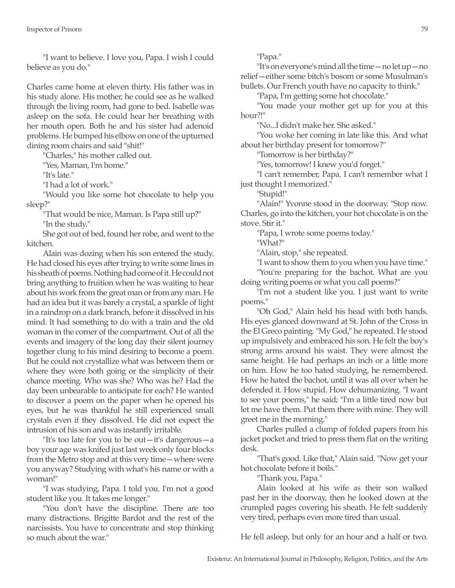"I want to believe. I love you, Papa. I wish I could believe as you do."

Charles came home at eleven thirty. His father was in his study alone. His mother, he could see as he walked through the living room, had gone to bed. Isabelle was asleep on the sofa. He could hear her breathing with her mouth open. Both he and his sister had adenoid problems. He bumped his elbow on one of the upturned dining room chairs and said "shit!"

"Charles," his mother called out.

"Yes, Maman, I'm home."

"It's late."

"I had a lot of work."

"Would you like some hot chocolate to help you sleep?"

"That would be nice, Maman. Is Papa still up?" "In the study."

She got out of bed, found her robe, and went to the kitchen.

Alain was dozing when his son entered the study. He had closed his eyes after trying to write some lines in his sheath of poems. Nothing had come of it. He could not bring anything to fruition when he was waiting to hear about his work from the great man or from any man. He had an idea but it was barely a crystal, a sparkle of light in a raindrop on a dark branch, before it dissolved in his mind. It had something to do with a train and the old woman in the corner of the compartment. Out of all the events and imagery of the long day their silent journey together clung to his mind desiring to become a poem. But he could not crystallize what was between them or where they were both going or the simplicity of their chance meeting. Who was she? Who was he? Had the day been unbearable to anticipate for each? He wanted to discover a poem on the paper when he opened his eyes, but he was thankful he still experienced small crystals even if they dissolved. He did not expect the intrusion of his son and was instantly irritable.

"It's too late for you to be out—it's dangerous—a boy your age was knifed just last week only four blocks from the Metro stop and at this very time—where were you anyway? Studying with what's his name or with a woman!"

"I was studying, Papa. I told you. I'm not a good student like you. It takes me longer."

"You don't have the discipline. There are too many distractions. Brigitte Bardot and the rest of the narcissists. You have to concentrate and stop thinking so much about the war."

"Papa."

"It's on everyone's mind all the time—no let up—no relief—either some bitch's bosom or some Musulman's bullets. Our French youth have no capacity to think."

"Papa, I'm getting some hot chocolate."

"You made your mother get up for you at this hour?!"

"No...I didn't make her. She asked."

"You woke her coming in late like this. And what about her birthday present for tomorrow?"

"Tomorrow is her birthday?"

"Yes, tomorrow! I knew you'd forget."

"I can't remember, Papa. I can't remember what I just thought I memorized."

"Stupid!"

"Alain!" Yvonne stood in the doorway. "Stop now. Charles, go into the kitchen, your hot chocolate is on the stove. Stir it."

"Papa, I wrote some poems today."

"What?"

"Alain, stop," she repeated.

"I want to show them to you when you have time."

"You're preparing for the bachot. What are you doing writing poems or what you call poems?"

"I'm not a student like you. I just want to write poems."

"Oh God," Alain held his head with both hands. His eyes glanced downward at St. John of the Cross in the El Greco painting. "My God," he repeated. He stood up impulsively and embraced his son. He felt the boy's strong arms around his waist. They were almost the same height. He had perhaps an inch or a little more on him. How he too hated studying, he remembered. How he hated the bachot, until it was all over when he defended it. How stupid. How dehumanizing. "I want to see your poems," he said; "I'm a little tired now but let me have them. Put them there with mine. They will greet me in the morning."

Charles pulled a clump of folded papers from his jacket pocket and tried to press them flat on the writing desk.

"That's good. Like that," Alain said. "Now get your hot chocolate before it boils."

"Thank you, Papa."

Alain looked at his wife as their son walked past her in the doorway, then he looked down at the crumpled pages covering his sheath. He felt suddenly very tired, perhaps even more tired than usual.

He fell asleep, but only for an hour and a half or two.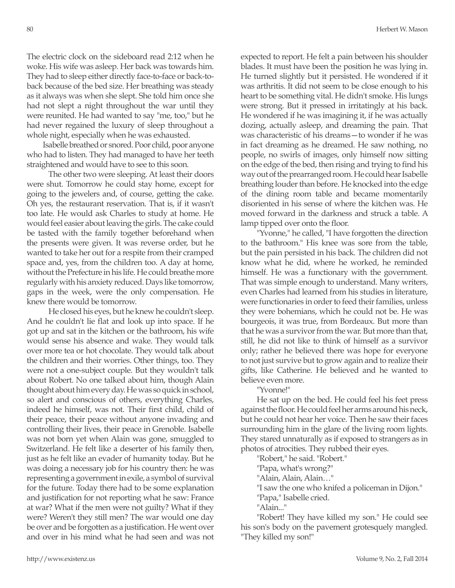The electric clock on the sideboard read 2:12 when he woke. His wife was asleep. Her back was towards him. They had to sleep either directly face-to-face or back-toback because of the bed size. Her breathing was steady as it always was when she slept. She told him once she had not slept a night throughout the war until they were reunited. He had wanted to say "me, too," but he had never regained the luxury of sleep throughout a whole night, especially when he was exhausted.

Isabelle breathed or snored. Poor child, poor anyone who had to listen. They had managed to have her teeth straightened and would have to see to this soon.

 The other two were sleeping. At least their doors were shut. Tomorrow he could stay home, except for going to the jewelers and, of course, getting the cake. Oh yes, the restaurant reservation. That is, if it wasn't too late. He would ask Charles to study at home. He would feel easier about leaving the girls. The cake could be tasted with the family together beforehand when the presents were given. It was reverse order, but he wanted to take her out for a respite from their cramped space and, yes, from the children too. A day at home, without the Prefecture in his life. He could breathe more regularly with his anxiety reduced. Days like tomorrow, gaps in the week, were the only compensation. He knew there would be tomorrow.

 He closed his eyes, but he knew he couldn't sleep. And he couldn't lie flat and look up into space. If he got up and sat in the kitchen or the bathroom, his wife would sense his absence and wake. They would talk over more tea or hot chocolate. They would talk about the children and their worries. Other things, too. They were not a one-subject couple. But they wouldn't talk about Robert. No one talked about him, though Alain thought about him every day. He was so quick in school, so alert and conscious of others, everything Charles, indeed he himself, was not. Their first child, child of their peace, their peace without anyone invading and controlling their lives, their peace in Grenoble. Isabelle was not born yet when Alain was gone, smuggled to Switzerland. He felt like a deserter of his family then, just as he felt like an evader of humanity today. But he was doing a necessary job for his country then: he was representing a government in exile, a symbol of survival for the future. Today there had to be some explanation and justification for not reporting what he saw: France at war? What if the men were not guilty? What if they were? Weren't they still men? The war would one day be over and be forgotten as a justification. He went over and over in his mind what he had seen and was not expected to report. He felt a pain between his shoulder blades. It must have been the position he was lying in. He turned slightly but it persisted. He wondered if it was arthritis. It did not seem to be close enough to his heart to be something vital. He didn't smoke. His lungs were strong. But it pressed in irritatingly at his back. He wondered if he was imagining it, if he was actually dozing, actually asleep, and dreaming the pain. That was characteristic of his dreams—to wonder if he was in fact dreaming as he dreamed. He saw nothing, no people, no swirls of images, only himself now sitting on the edge of the bed, then rising and trying to find his way out of the prearranged room. He could hear Isabelle breathing louder than before. He knocked into the edge of the dining room table and became momentarily disoriented in his sense of where the kitchen was. He moved forward in the darkness and struck a table. A lamp tipped over onto the floor.

"Yvonne," he called, "I have forgotten the direction to the bathroom." His knee was sore from the table, but the pain persisted in his back. The children did not know what he did, where he worked, he reminded himself. He was a functionary with the government. That was simple enough to understand. Many writers, even Charles had learned from his studies in literature, were functionaries in order to feed their families, unless they were bohemians, which he could not be. He was bourgeois, it was true, from Bordeaux. But more than that he was a survivor from the war. But more than that, still, he did not like to think of himself as a survivor only; rather he believed there was hope for everyone to not just survive but to grow again and to realize their gifts, like Catherine. He believed and he wanted to believe even more.

"Yvonne!"

He sat up on the bed. He could feel his feet press against the floor. He could feel her arms around his neck, but he could not hear her voice. Then he saw their faces surrounding him in the glare of the living room lights. They stared unnaturally as if exposed to strangers as in photos of atrocities. They rubbed their eyes.

"Robert," he said. "Robert."

"Papa, what's wrong?"

"Alain, Alain, Alain…"

"I saw the one who knifed a policeman in Dijon."

"Papa," Isabelle cried.

"Alain..."

"Robert! They have killed my son." He could see his son's body on the pavement grotesquely mangled. "They killed my son!"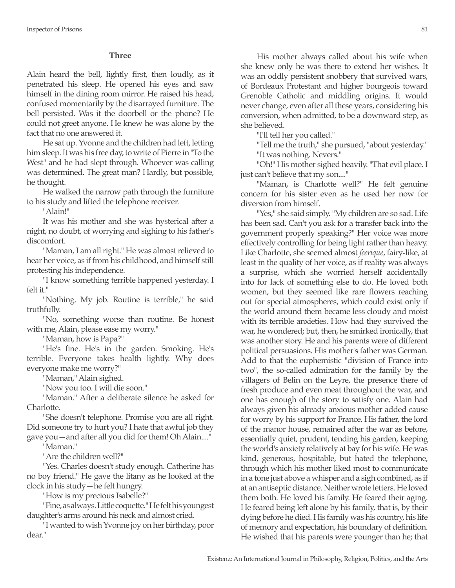## **Three**

Alain heard the bell, lightly first, then loudly, as it penetrated his sleep. He opened his eyes and saw himself in the dining room mirror. He raised his head, confused momentarily by the disarrayed furniture. The bell persisted. Was it the doorbell or the phone? He could not greet anyone. He knew he was alone by the fact that no one answered it.

He sat up. Yvonne and the children had left, letting him sleep. It was his free day, to write of Pierre in "To the West" and he had slept through. Whoever was calling was determined. The great man? Hardly, but possible, he thought.

He walked the narrow path through the furniture to his study and lifted the telephone receiver.

"Alain!"

It was his mother and she was hysterical after a night, no doubt, of worrying and sighing to his father's discomfort.

"Maman, I am all right." He was almost relieved to hear her voice, as if from his childhood, and himself still protesting his independence.

"I know something terrible happened yesterday. I felt it."

"Nothing. My job. Routine is terrible," he said truthfully.

"No, something worse than routine. Be honest with me, Alain, please ease my worry."

"Maman, how is Papa?"

"He's fine. He's in the garden. Smoking. He's terrible. Everyone takes health lightly. Why does everyone make me worry?"

"Maman," Alain sighed.

"Now you too. I will die soon."

"Maman." After a deliberate silence he asked for Charlotte.

"She doesn't telephone. Promise you are all right. Did someone try to hurt you? I hate that awful job they gave you—and after all you did for them! Oh Alain...."

"Maman."

"Are the children well?"

"Yes. Charles doesn't study enough. Catherine has no boy friend." He gave the litany as he looked at the clock in his study—he felt hungry.

"How is my precious Isabelle?"

"Fine, as always. Little coquette." He felt his youngest daughter's arms around his neck and almost cried.

"I wanted to wish Yvonne joy on her birthday, poor dear."

His mother always called about his wife when she knew only he was there to extend her wishes. It was an oddly persistent snobbery that survived wars, of Bordeaux Protestant and higher bourgeois toward Grenoble Catholic and middling origins. It would never change, even after all these years, considering his conversion, when admitted, to be a downward step, as she believed.

"I'll tell her you called."

"Tell me the truth," she pursued, "about yesterday." "It was nothing. Nevers."

"Oh!" His mother sighed heavily. "That evil place. I just can't believe that my son...."

"Maman, is Charlotte well?" He felt genuine concern for his sister even as he used her now for diversion from himself.

"Yes," she said simply. "My children are so sad. Life has been sad. Can't you ask for a transfer back into the government properly speaking?" Her voice was more effectively controlling for being light rather than heavy. Like Charlotte, she seemed almost *feerique*, fairy-like, at least in the quality of her voice, as if reality was always a surprise, which she worried herself accidentally into for lack of something else to do. He loved both women, but they seemed like rare flowers reaching out for special atmospheres, which could exist only if the world around them became less cloudy and moist with its terrible anxieties. How had they survived the war, he wondered; but, then, he smirked ironically, that was another story. He and his parents were of different political persuasions. His mother's father was German. Add to that the euphemistic "division of France into two", the so-called admiration for the family by the villagers of Belin on the Leyre, the presence there of fresh produce and even meat throughout the war, and one has enough of the story to satisfy one. Alain had always given his already anxious mother added cause for worry by his support for France. His father, the lord of the manor house, remained after the war as before, essentially quiet, prudent, tending his garden, keeping the world's anxiety relatively at bay for his wife. He was kind, generous, hospitable, but hated the telephone, through which his mother liked most to communicate in a tone just above a whisper and a sigh combined, as if at an antiseptic distance. Neither wrote letters. He loved them both. He loved his family. He feared their aging. He feared being left alone by his family, that is, by their dying before he died. His family was his country, his life of memory and expectation, his boundary of definition. He wished that his parents were younger than he; that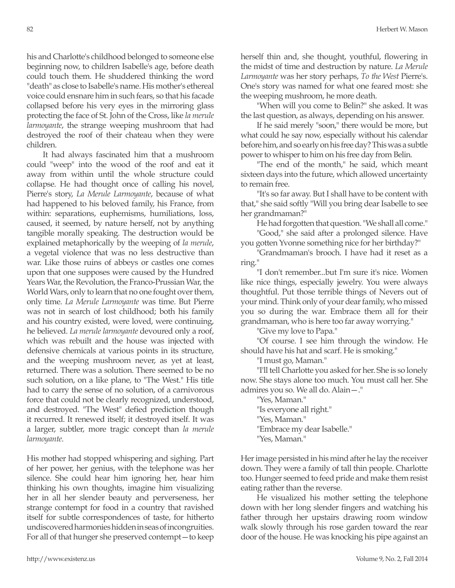his and Charlotte's childhood belonged to someone else beginning now, to children Isabelle's age, before death could touch them. He shuddered thinking the word "death" as close to Isabelle's name. His mother's ethereal voice could ensnare him in such fears, so that his facade collapsed before his very eyes in the mirroring glass protecting the face of St. John of the Cross, like *la merule larmoyante*, the strange weeping mushroom that had destroyed the roof of their chateau when they were children.

It had always fascinated him that a mushroom could "weep" into the wood of the roof and eat it away from within until the whole structure could collapse. He had thought once of calling his novel, Pierre's story, *La Merule Larmoyante*, because of what had happened to his beloved family, his France, from within: separations, euphemisms, humiliations, loss, caused, it seemed, by nature herself, not by anything tangible morally speaking. The destruction would be explained metaphorically by the weeping of *la merule*, a vegetal violence that was no less destructive than war. Like those ruins of abbeys or castles one comes upon that one supposes were caused by the Hundred Years War, the Revolution, the Franco-Prussian War, the World Wars, only to learn that no one fought over them, only time. *La Merule Larmoyante* was time. But Pierre was not in search of lost childhood; both his family and his country existed, were loved, were continuing, he believed. *La merule larmoyante* devoured only a roof, which was rebuilt and the house was injected with defensive chemicals at various points in its structure, and the weeping mushroom never, as yet at least, returned. There was a solution. There seemed to be no such solution, on a like plane, to "The West." His title had to carry the sense of no solution, of a carnivorous force that could not be clearly recognized, understood, and destroyed. "The West" defied prediction though it recurred. It renewed itself; it destroyed itself. It was a larger, subtler, more tragic concept than *la merule larmoyante*.

His mother had stopped whispering and sighing. Part of her power, her genius, with the telephone was her silence. She could hear him ignoring her, hear him thinking his own thoughts, imagine him visualizing her in all her slender beauty and perverseness, her strange contempt for food in a country that ravished itself for subtle correspondences of taste, for hitherto undiscovered harmonies hidden in seas of incongruities. For all of that hunger she preserved contempt—to keep herself thin and, she thought, youthful, flowering in the midst of time and destruction by nature. *La Merule Larmoyante* was her story perhaps, *To the West* Pierre's. One's story was named for what one feared most: she the weeping mushroom, he more death.

"When will you come to Belin?" she asked. It was the last question, as always, depending on his answer.

If he said merely "soon," there would be more, but what could he say now, especially without his calendar before him, and so early on his free day? This was a subtle power to whisper to him on his free day from Belin.

"The end of the month," he said, which meant sixteen days into the future, which allowed uncertainty to remain free.

"It's so far away. But I shall have to be content with that," she said softly "Will you bring dear Isabelle to see her grandmaman?"

He had forgotten that question. "We shall all come."

"Good," she said after a prolonged silence. Have you gotten Yvonne something nice for her birthday?"

"Grandmaman's brooch. I have had it reset as a ring."

"I don't remember...but I'm sure it's nice. Women like nice things, especially jewelry. You were always thoughtful. Put those terrible things of Nevers out of your mind. Think only of your dear family, who missed you so during the war. Embrace them all for their grandmaman, who is here too far away worrying."

"Give my love to Papa."

"Of course. I see him through the window. He should have his hat and scarf. He is smoking."

"I must go, Maman."

"I'll tell Charlotte you asked for her. She is so lonely now. She stays alone too much. You must call her. She admires you so. We all do. Alain—."

"Yes, Maman." "Is everyone all right." "Yes, Maman." "Embrace my dear Isabelle." "Yes, Maman."

Her image persisted in his mind after he lay the receiver down. They were a family of tall thin people. Charlotte too. Hunger seemed to feed pride and make them resist eating rather than the reverse.

He visualized his mother setting the telephone down with her long slender fingers and watching his father through her upstairs drawing room window walk slowly through his rose garden toward the rear door of the house. He was knocking his pipe against an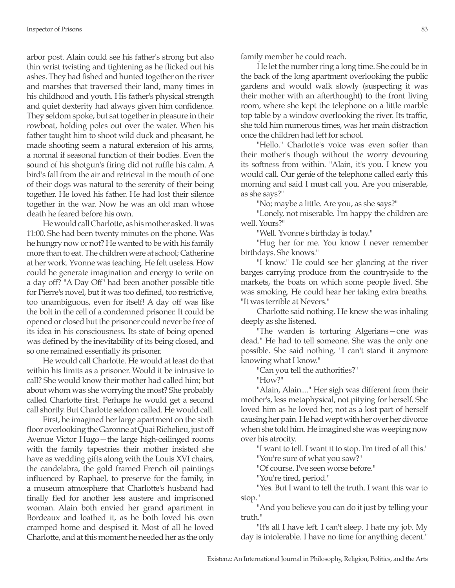arbor post. Alain could see his father's strong but also thin wrist twisting and tightening as he flicked out his ashes. They had fished and hunted together on the river and marshes that traversed their land, many times in his childhood and youth. His father's physical strength and quiet dexterity had always given him confidence. They seldom spoke, but sat together in pleasure in their rowboat, holding poles out over the water. When his father taught him to shoot wild duck and pheasant, he made shooting seem a natural extension of his arms, a normal if seasonal function of their bodies. Even the sound of his shotgun's firing did not ruffle his calm. A bird's fall from the air and retrieval in the mouth of one of their dogs was natural to the serenity of their being together. He loved his father. He had lost their silence together in the war. Now he was an old man whose death he feared before his own.

He would call Charlotte, as his mother asked. It was 11:00. She had been twenty minutes on the phone. Was he hungry now or not? He wanted to be with his family more than to eat. The children were at school; Catherine at her work. Yvonne was teaching. He felt useless. How could he generate imagination and energy to write on a day off? "A Day Off" had been another possible title for Pierre's novel, but it was too defined, too restrictive, too unambiguous, even for itself! A day off was like the bolt in the cell of a condemned prisoner. It could be opened or closed but the prisoner could never be free of its idea in his consciousness. Its state of being opened was defined by the inevitability of its being closed, and so one remained essentially its prisoner.

He would call Charlotte. He would at least do that within his limits as a prisoner. Would it be intrusive to call? She would know their mother had called him; but about whom was she worrying the most? She probably called Charlotte first. Perhaps he would get a second call shortly. But Charlotte seldom called. He would call.

First, he imagined her large apartment on the sixth floor overlooking the Garonne at Quai Richelieu, just off Avenue Victor Hugo—the large high-ceilinged rooms with the family tapestries their mother insisted she have as wedding gifts along with the Louis XVI chairs, the candelabra, the gold framed French oil paintings influenced by Raphael, to preserve for the family, in a museum atmosphere that Charlotte's husband had finally fled for another less austere and imprisoned woman. Alain both envied her grand apartment in Bordeaux and loathed it, as he both loved his own cramped home and despised it. Most of all he loved Charlotte, and at this moment he needed her as the only family member he could reach.

He let the number ring a long time. She could be in the back of the long apartment overlooking the public gardens and would walk slowly (suspecting it was their mother with an afterthought) to the front living room, where she kept the telephone on a little marble top table by a window overlooking the river. Its traffic, she told him numerous times, was her main distraction once the children had left for school.

"Hello." Charlotte's voice was even softer than their mother's though without the worry devouring its softness from within. "Alain, it's you. I knew you would call. Our genie of the telephone called early this morning and said I must call you. Are you miserable, as she says?"

"No; maybe a little. Are you, as she says?"

"Lonely, not miserable. I'm happy the children are well. Yours?"

"Well. Yvonne's birthday is today."

"Hug her for me. You know I never remember birthdays. She knows."

"I know." He could see her glancing at the river barges carrying produce from the countryside to the markets, the boats on which some people lived. She was smoking. He could hear her taking extra breaths. "It was terrible at Nevers."

Charlotte said nothing. He knew she was inhaling deeply as she listened.

"The warden is torturing Algerians—one was dead." He had to tell someone. She was the only one possible. She said nothing. "I can't stand it anymore knowing what I know."

"Can you tell the authorities?"

"How?"

"Alain, Alain...." Her sigh was different from their mother's, less metaphysical, not pitying for herself. She loved him as he loved her, not as a lost part of herself causing her pain. He had wept with her over her divorce when she told him. He imagined she was weeping now over his atrocity.

"I want to tell. I want it to stop. I'm tired of all this." "You're sure of what you saw?"

"Of course. I've seen worse before."

"You're tired, period."

"Yes. But I want to tell the truth. I want this war to stop."

"And you believe you can do it just by telling your truth."

"It's all I have left. I can't sleep. I hate my job. My day is intolerable. I have no time for anything decent."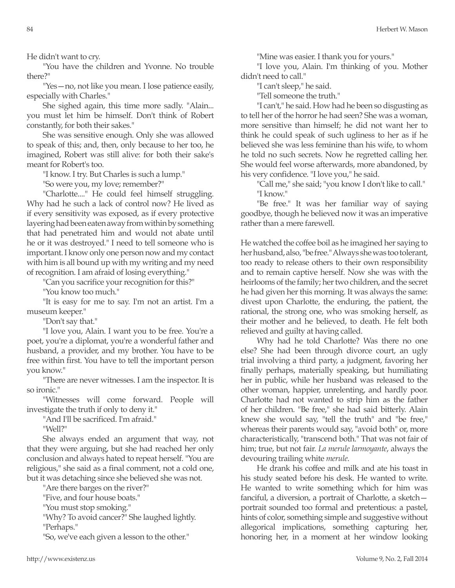He didn't want to cry.

"You have the children and Yvonne. No trouble there?"

"Yes—no, not like you mean. I lose patience easily, especially with Charles."

She sighed again, this time more sadly. "Alain... you must let him be himself. Don't think of Robert constantly, for both their sakes."

She was sensitive enough. Only she was allowed to speak of this; and, then, only because to her too, he imagined, Robert was still alive: for both their sake's meant for Robert's too.

"I know. I try. But Charles is such a lump."

"So were you, my love; remember?"

"Charlotte...." He could feel himself struggling. Why had he such a lack of control now? He lived as if every sensitivity was exposed, as if every protective layering had been eaten away from within by something that had penetrated him and would not abate until he or it was destroyed." I need to tell someone who is important. I know only one person now and my contact with him is all bound up with my writing and my need of recognition. I am afraid of losing everything."

"Can you sacrifice your recognition for this?"

"You know too much."

"It is easy for me to say. I'm not an artist. I'm a museum keeper."

"Don't say that."

"I love you, Alain. I want you to be free. You're a poet, you're a diplomat, you're a wonderful father and husband, a provider, and my brother. You have to be free within first. You have to tell the important person you know."

"There are never witnesses. I am the inspector. It is so ironic."

"Witnesses will come forward. People will investigate the truth if only to deny it."

"And I'll be sacrificed. I'm afraid."

"Well?"

She always ended an argument that way, not that they were arguing, but she had reached her only conclusion and always hated to repeat herself. "You are religious," she said as a final comment, not a cold one, but it was detaching since she believed she was not.

"Are there barges on the river?"

"Five, and four house boats."

"You must stop smoking."

"Why? To avoid cancer?" She laughed lightly. "Perhaps."

"So, we've each given a lesson to the other."

"Mine was easier. I thank you for yours."

"I love you, Alain. I'm thinking of you. Mother didn't need to call."

"I can't sleep," he said.

"Tell someone the truth."

"I can't," he said. How had he been so disgusting as to tell her of the horror he had seen? She was a woman, more sensitive than himself; he did not want her to think he could speak of such ugliness to her as if he believed she was less feminine than his wife, to whom he told no such secrets. Now he regretted calling her. She would feel worse afterwards, more abandoned, by his very confidence. "I love you," he said.

"Call me," she said; "you know I don't like to call." "I know."

"Be free." It was her familiar way of saying goodbye, though he believed now it was an imperative rather than a mere farewell.

He watched the coffee boil as he imagined her saying to her husband, also, "be free." Always she was too tolerant, too ready to release others to their own responsibility and to remain captive herself. Now she was with the heirlooms of the family; her two children, and the secret he had given her this morning. It was always the same: divest upon Charlotte, the enduring, the patient, the rational, the strong one, who was smoking herself, as their mother and he believed, to death. He felt both relieved and guilty at having called.

Why had he told Charlotte? Was there no one else? She had been through divorce court, an ugly trial involving a third party, a judgment, favoring her finally perhaps, materially speaking, but humiliating her in public, while her husband was released to the other woman, happier, unrelenting, and hardly poor. Charlotte had not wanted to strip him as the father of her children. "Be free," she had said bitterly. Alain knew she would say, "tell the truth" and "be free," whereas their parents would say, "avoid both" or, more characteristically, "transcend both." That was not fair of him; true, but not fair. *La merule larmoyante*, always the devouring trailing white *merule*.

He drank his coffee and milk and ate his toast in his study seated before his desk. He wanted to write. He wanted to write something which for him was fanciful, a diversion, a portrait of Charlotte, a sketch portrait sounded too formal and pretentious: a pastel, hints of color, something simple and suggestive without allegorical implications, something capturing her, honoring her, in a moment at her window looking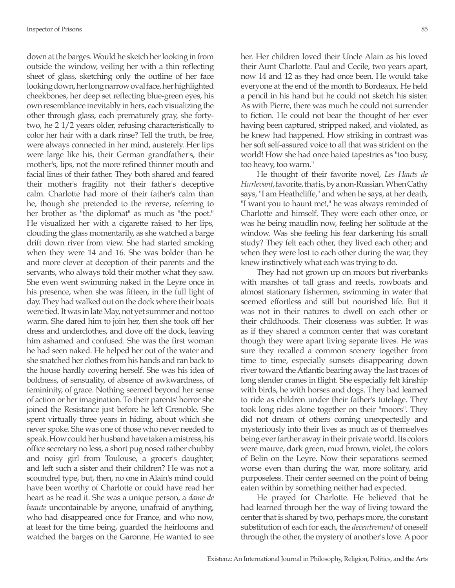down at the barges. Would he sketch her looking in from outside the window, veiling her with a thin reflecting sheet of glass, sketching only the outline of her face looking down, her long narrow oval face, her highlighted cheekbones, her deep set reflecting blue-green eyes, his own resemblance inevitably in hers, each visualizing the other through glass, each prematurely gray, she fortytwo, he 2 1/2 years older, refusing characteristically to color her hair with a dark rinse? Tell the truth, be free, were always connected in her mind, austerely. Her lips were large like his, their German grandfather's, their mother's, lips, not the more refined thinner mouth and facial lines of their father. They both shared and feared their mother's fragility not their father's deceptive calm. Charlotte had more of their father's calm than he, though she pretended to the reverse, referring to her brother as "the diplomat" as much as "the poet." He visualized her with a cigarette raised to her lips, clouding the glass momentarily, as she watched a barge drift down river from view. She had started smoking when they were 14 and 16. She was bolder than he and more clever at deception of their parents and the servants, who always told their mother what they saw. She even went swimming naked in the Leyre once in his presence, when she was fifteen, in the full light of day. They had walked out on the dock where their boats were tied. It was in late May, not yet summer and not too warm. She dared him to join her, then she took off her dress and underclothes, and dove off the dock, leaving him ashamed and confused. She was the first woman he had seen naked. He helped her out of the water and she snatched her clothes from his hands and ran back to the house hardly covering herself. She was his idea of boldness, of sensuality, of absence of awkwardness, of femininity, of grace. Nothing seemed beyond her sense of action or her imagination. To their parents' horror she joined the Resistance just before he left Grenoble. She spent virtually three years in hiding, about which she never spoke. She was one of those who never needed to speak. How could her husband have taken a mistress, his office secretary no less, a short pug nosed rather chubby and noisy girl from Toulouse, a grocer's daughter, and left such a sister and their children? He was not a scoundrel type, but, then, no one in Alain's mind could have been worthy of Charlotte or could have read her heart as he read it. She was a unique person, a *dame de beaute* uncontainable by anyone, unafraid of anything, who had disappeared once for France, and who now, at least for the time being, guarded the heirlooms and watched the barges on the Garonne. He wanted to see

her. Her children loved their Uncle Alain as his loved their Aunt Charlotte. Paul and Cecile, two years apart, now 14 and 12 as they had once been. He would take everyone at the end of the month to Bordeaux. He held a pencil in his hand but he could not sketch his sister. As with Pierre, there was much he could not surrender to fiction. He could not bear the thought of her ever having been captured, stripped naked, and violated, as he knew had happened. How striking in contrast was her soft self-assured voice to all that was strident on the world! How she had once hated tapestries as "too busy, too heavy, too warm."

He thought of their favorite novel, *Les Hauts de Hurlevant*, favorite, that is, by a non-Russian. When Cathy says, "I am Heathcliffe," and when he says, at her death, "I want you to haunt me!," he was always reminded of Charlotte and himself. They were each other once, or was he being maudlin now, feeling her solitude at the window. Was she feeling his fear darkening his small study? They felt each other, they lived each other; and when they were lost to each other during the war, they knew instinctively what each was trying to do.

They had not grown up on moors but riverbanks with marshes of tall grass and reeds, rowboats and almost stationary fishermen, swimming in water that seemed effortless and still but nourished life. But it was not in their natures to dwell on each other or their childhoods. Their closeness was subtler. It was as if they shared a common center that was constant though they were apart living separate lives. He was sure they recalled a common scenery together from time to time, especially sunsets disappearing down river toward the Atlantic bearing away the last traces of long slender cranes in flight. She especially felt kinship with birds, he with horses and dogs. They had learned to ride as children under their father's tutelage. They took long rides alone together on their "moors". They did not dream of others coming unexpectedly and mysteriously into their lives as much as of themselves being ever farther away in their private world. Its colors were mauve, dark green, mud brown, violet, the colors of Belin on the Leyre. Now their separations seemed worse even than during the war, more solitary, arid purposeless. Their center seemed on the point of being eaten within by something neither had expected.

He prayed for Charlotte. He believed that he had learned through her the way of living toward the center that is shared by two, perhaps more, the constant substitution of each for each, the *decentrement* of oneself through the other, the mystery of another's love. A poor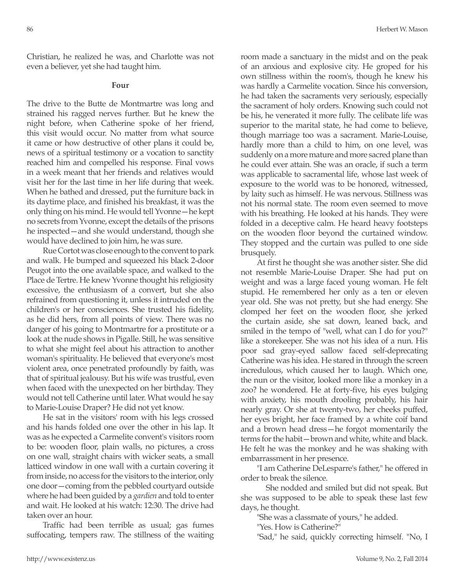Christian, he realized he was, and Charlotte was not even a believer, yet she had taught him.

### **Four**

The drive to the Butte de Montmartre was long and strained his ragged nerves further. But he knew the night before, when Catherine spoke of her friend, this visit would occur. No matter from what source it came or how destructive of other plans it could be, news of a spiritual testimony or a vocation to sanctity reached him and compelled his response. Final vows in a week meant that her friends and relatives would visit her for the last time in her life during that week. When he bathed and dressed, put the furniture back in its daytime place, and finished his breakfast, it was the only thing on his mind. He would tell Yvonne—he kept no secrets from Yvonne, except the details of the prisons he inspected—and she would understand, though she would have declined to join him, he was sure.

Rue Cortot was close enough to the convent to park and walk. He bumped and squeezed his black 2-door Peugot into the one available space, and walked to the Place de Tertre. He knew Yvonne thought his religiosity excessive, the enthusiasm of a convert, but she also refrained from questioning it, unless it intruded on the children's or her consciences. She trusted his fidelity, as he did hers, from all points of view. There was no danger of his going to Montmartre for a prostitute or a look at the nude shows in Pigalle. Still, he was sensitive to what she might feel about his attraction to another woman's spirituality. He believed that everyone's most violent area, once penetrated profoundly by faith, was that of spiritual jealousy. But his wife was trustful, even when faced with the unexpected on her birthday. They would not tell Catherine until later. What would he say to Marie-Louise Draper? He did not yet know.

He sat in the visitors' room with his legs crossed and his hands folded one over the other in his lap. It was as he expected a Carmelite convent's visitors room to be: wooden floor, plain walls, no pictures, a cross on one wall, straight chairs with wicker seats, a small latticed window in one wall with a curtain covering it from inside, no access for the visitors to the interior, only one door—coming from the pebbled courtyard outside where he had been guided by a *gardien* and told to enter and wait. He looked at his watch: 12:30. The drive had taken over an hour.

Traffic had been terrible as usual; gas fumes suffocating, tempers raw. The stillness of the waiting room made a sanctuary in the midst and on the peak of an anxious and explosive city. He groped for his own stillness within the room's, though he knew his was hardly a Carmelite vocation. Since his conversion, he had taken the sacraments very seriously, especially the sacrament of holy orders. Knowing such could not be his, he venerated it more fully. The celibate life was superior to the marital state, he had come to believe, though marriage too was a sacrament. Marie-Louise, hardly more than a child to him, on one level, was suddenly on a more mature and more sacred plane than he could ever attain. She was an oracle, if such a term was applicable to sacramental life, whose last week of exposure to the world was to be honored, witnessed, by laity such as himself. He was nervous. Stillness was not his normal state. The room even seemed to move with his breathing. He looked at his hands. They were folded in a deceptive calm. He heard heavy footsteps on the wooden floor beyond the curtained window. They stopped and the curtain was pulled to one side brusquely.

At first he thought she was another sister. She did not resemble Marie-Louise Draper. She had put on weight and was a large faced young woman. He felt stupid. He remembered her only as a ten or eleven year old. She was not pretty, but she had energy. She clomped her feet on the wooden floor, she jerked the curtain aside, she sat down, leaned back, and smiled in the tempo of "well, what can I do for you?" like a storekeeper. She was not his idea of a nun. His poor sad gray-eyed sallow faced self-deprecating Catherine was his idea. He stared in through the screen incredulous, which caused her to laugh. Which one, the nun or the visitor, looked more like a monkey in a zoo? he wondered. He at forty-five, his eyes bulging with anxiety, his mouth drooling probably, his hair nearly gray. Or she at twenty-two, her cheeks puffed, her eyes bright, her face framed by a white coif band and a brown head dress—he forgot momentarily the terms for the habit—brown and white, white and black. He felt he was the monkey and he was shaking with embarrassment in her presence.

"I am Catherine DeLesparre's father," he offered in order to break the silence.

 She nodded and smiled but did not speak. But she was supposed to be able to speak these last few days, he thought.

"She was a classmate of yours," he added.

"Yes. How is Catherine?"

"Sad," he said, quickly correcting himself. "No, I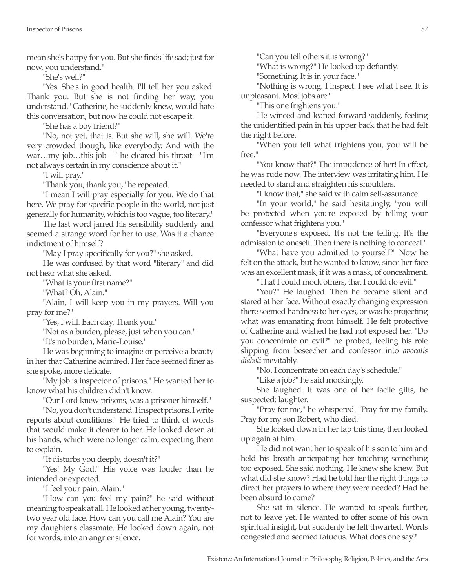mean she's happy for you. But she finds life sad; just for now, you understand."

"She's well?"

"Yes. She's in good health. I'll tell her you asked. Thank you. But she is not finding her way, you understand." Catherine, he suddenly knew, would hate this conversation, but now he could not escape it.

"She has a boy friend?"

"No, not yet, that is. But she will, she will. We're very crowded though, like everybody. And with the war…my job…this job—" he cleared his throat—"I'm not always certain in my conscience about it."

"I will pray."

"Thank you, thank you," he repeated.

"I mean I will pray especially for you. We do that here. We pray for specific people in the world, not just generally for humanity, which is too vague, too literary."

The last word jarred his sensibility suddenly and seemed a strange word for her to use. Was it a chance indictment of himself?

"May I pray specifically for you?" she asked.

He was confused by that word "literary" and did not hear what she asked.

"What is your first name?"

"What? Oh, Alain."

"Alain, I will keep you in my prayers. Will you pray for me?"

"Yes, I will. Each day. Thank you."

"Not as a burden, please, just when you can."

"It's no burden, Marie-Louise."

He was beginning to imagine or perceive a beauty in her that Catherine admired. Her face seemed finer as she spoke, more delicate.

"My job is inspector of prisons." He wanted her to know what his children didn't know.

"Our Lord knew prisons, was a prisoner himself."

"No, you don't understand. I inspect prisons. I write reports about conditions." He tried to think of words that would make it clearer to her. He looked down at his hands, which were no longer calm, expecting them to explain.

"It disturbs you deeply, doesn't it?"

"Yes! My God." His voice was louder than he intended or expected.

"I feel your pain, Alain."

"How can you feel my pain?" he said without meaning to speak at all. He looked at her young, twentytwo year old face. How can you call me Alain? You are my daughter's classmate. He looked down again, not for words, into an angrier silence.

"Can you tell others it is wrong?"

"What is wrong?" He looked up defiantly.

"Something. It is in your face."

"Nothing is wrong. I inspect. I see what I see. It is unpleasant. Most jobs are."

"This one frightens you."

He winced and leaned forward suddenly, feeling the unidentified pain in his upper back that he had felt the night before.

"When you tell what frightens you, you will be free."

"You know that?" The impudence of her! In effect, he was rude now. The interview was irritating him. He needed to stand and straighten his shoulders.

"I know that," she said with calm self-assurance.

"In your world," he said hesitatingly, "you will be protected when you're exposed by telling your confessor what frightens you."

"Everyone's exposed. It's not the telling. It's the admission to oneself. Then there is nothing to conceal."

"What have you admitted to yourself?" Now he felt on the attack, but he wanted to know, since her face was an excellent mask, if it was a mask, of concealment.

"That I could mock others, that I could do evil."

"You?" He laughed. Then he became silent and stared at her face. Without exactly changing expression there seemed hardness to her eyes, or was he projecting what was emanating from himself. He felt protective of Catherine and wished he had not exposed her. "Do you concentrate on evil?" he probed, feeling his role slipping from beseecher and confessor into *avocatis diaboli* inevitably.

"No. I concentrate on each day's schedule."

"Like a job?" he said mockingly.

She laughed. It was one of her facile gifts, he suspected: laughter.

"Pray for me," he whispered. "Pray for my family. Pray for my son Robert, who died."

She looked down in her lap this time, then looked up again at him.

He did not want her to speak of his son to him and held his breath anticipating her touching something too exposed. She said nothing. He knew she knew. But what did she know? Had he told her the right things to direct her prayers to where they were needed? Had he been absurd to come?

She sat in silence. He wanted to speak further, not to leave yet. He wanted to offer some of his own spiritual insight, but suddenly he felt thwarted. Words congested and seemed fatuous. What does one say?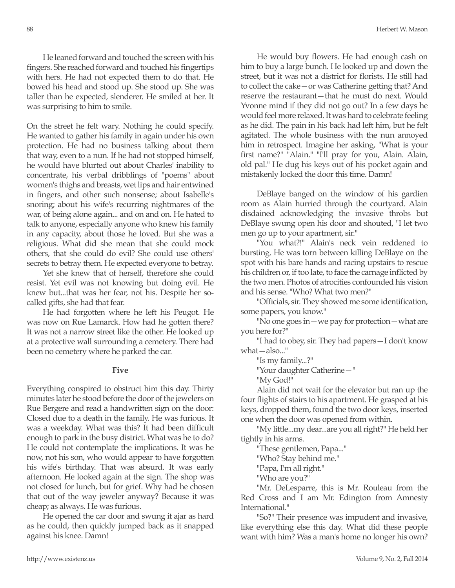He leaned forward and touched the screen with his fingers. She reached forward and touched his fingertips with hers. He had not expected them to do that. He bowed his head and stood up. She stood up. She was taller than he expected, slenderer. He smiled at her. It was surprising to him to smile.

On the street he felt wary. Nothing he could specify. He wanted to gather his family in again under his own protection. He had no business talking about them that way, even to a nun. If he had not stopped himself, he would have blurted out about Charles' inability to concentrate, his verbal dribblings of "poems" about women's thighs and breasts, wet lips and hair entwined in fingers, and other such nonsense; about Isabelle's snoring; about his wife's recurring nightmares of the war, of being alone again... and on and on. He hated to talk to anyone, especially anyone who knew his family in any capacity, about those he loved. But she was a religious. What did she mean that she could mock others, that she could do evil? She could use others' secrets to betray them. He expected everyone to betray.

Yet she knew that of herself, therefore she could resist. Yet evil was not knowing but doing evil. He knew but...that was her fear, not his. Despite her socalled gifts, she had that fear.

He had forgotten where he left his Peugot. He was now on Rue Lamarck. How had he gotten there? It was not a narrow street like the other. He looked up at a protective wall surrounding a cemetery. There had been no cemetery where he parked the car.

#### **Five**

Everything conspired to obstruct him this day. Thirty minutes later he stood before the door of the jewelers on Rue Bergere and read a handwritten sign on the door: Closed due to a death in the family. He was furious. It was a weekday. What was this? It had been difficult enough to park in the busy district. What was he to do? He could not contemplate the implications. It was he now, not his son, who would appear to have forgotten his wife's birthday. That was absurd. It was early afternoon. He looked again at the sign. The shop was not closed for lunch, but for grief. Why had he chosen that out of the way jeweler anyway? Because it was cheap; as always. He was furious.

He opened the car door and swung it ajar as hard as he could, then quickly jumped back as it snapped against his knee. Damn!

He would buy flowers. He had enough cash on him to buy a large bunch. He looked up and down the street, but it was not a district for florists. He still had to collect the cake—or was Catherine getting that? And reserve the restaurant—that he must do next. Would Yvonne mind if they did not go out? In a few days he would feel more relaxed. It was hard to celebrate feeling as he did. The pain in his back had left him, but he felt agitated. The whole business with the nun annoyed him in retrospect. Imagine her asking, "What is your first name?" "Alain." "I'll pray for you, Alain. Alain, old pal." He dug his keys out of his pocket again and mistakenly locked the door this time. Damn!

DeBlaye banged on the window of his gardien room as Alain hurried through the courtyard. Alain disdained acknowledging the invasive throbs but DeBlaye swung open his door and shouted, "I let two men go up to your apartment, sir."

"You what?!" Alain's neck vein reddened to bursting. He was torn between killing DeBlaye on the spot with his bare hands and racing upstairs to rescue his children or, if too late, to face the carnage inflicted by the two men. Photos of atrocities confounded his vision and his sense. "Who? What two men?"

"Officials, sir. They showed me some identification, some papers, you know."

"No one goes in—we pay for protection—what are you here for?"

"I had to obey, sir. They had papers—I don't know what—also..."

"Is my family...?"

"Your daughter Catherine—"

"My God!"

Alain did not wait for the elevator but ran up the four flights of stairs to his apartment. He grasped at his keys, dropped them, found the two door keys, inserted one when the door was opened from within.

"My little...my dear...are you all right?" He held her tightly in his arms.

"These gentlemen, Papa..."

"Who? Stay behind me."

"Papa, I'm all right."

"Who are you?"

"Mr. DeLesparre, this is Mr. Rouleau from the Red Cross and I am Mr. Edington from Amnesty International."

"So?" Their presence was impudent and invasive, like everything else this day. What did these people want with him? Was a man's home no longer his own?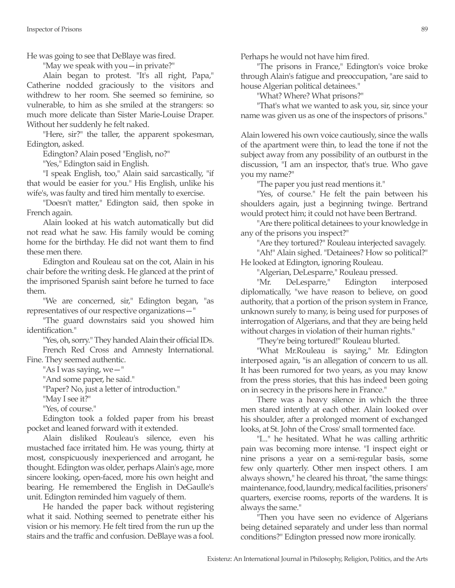He was going to see that DeBlaye was fired.

"May we speak with you—in private?"

Alain began to protest. "It's all right, Papa," Catherine nodded graciously to the visitors and withdrew to her room. She seemed so feminine, so vulnerable, to him as she smiled at the strangers: so much more delicate than Sister Marie-Louise Draper. Without her suddenly he felt naked.

"Here, sir?" the taller, the apparent spokesman, Edington, asked.

Edington? Alain posed "English, no?"

"Yes," Edington said in English.

"I speak English, too," Alain said sarcastically, "if that would be easier for you." His English, unlike his wife's, was faulty and tired him mentally to exercise.

"Doesn't matter," Edington said, then spoke in French again.

Alain looked at his watch automatically but did not read what he saw. His family would be coming home for the birthday. He did not want them to find these men there.

Edington and Rouleau sat on the cot, Alain in his chair before the writing desk. He glanced at the print of the imprisoned Spanish saint before he turned to face them.

"We are concerned, sir," Edington began, "as representatives of our respective organizations—"

"The guard downstairs said you showed him identification."

"Yes, oh, sorry." They handed Alain their official IDs. French Red Cross and Amnesty International. Fine. They seemed authentic.

"As I was saying, we—"

"And some paper, he said."

"Paper? No, just a letter of introduction."

"May I see it?"

"Yes, of course."

Edington took a folded paper from his breast pocket and leaned forward with it extended.

Alain disliked Rouleau's silence, even his mustached face irritated him. He was young, thirty at most, conspicuously inexperienced and arrogant, he thought. Edington was older, perhaps Alain's age, more sincere looking, open-faced, more his own height and bearing. He remembered the English in DeGaulle's unit. Edington reminded him vaguely of them.

He handed the paper back without registering what it said. Nothing seemed to penetrate either his vision or his memory. He felt tired from the run up the stairs and the traffic and confusion. DeBlaye was a fool.

Perhaps he would not have him fired.

"The prisons in France," Edington's voice broke through Alain's fatigue and preoccupation, "are said to house Algerian political detainees."

"What? Where? What prisons?"

"That's what we wanted to ask you, sir, since your name was given us as one of the inspectors of prisons."

Alain lowered his own voice cautiously, since the walls of the apartment were thin, to lead the tone if not the subject away from any possibility of an outburst in the discussion, "I am an inspector, that's true. Who gave you my name?"

"The paper you just read mentions it."

"Yes, of course." He felt the pain between his shoulders again, just a beginning twinge. Bertrand would protect him; it could not have been Bertrand.

"Are there political detainees to your knowledge in any of the prisons you inspect?"

"Are they tortured?" Rouleau interjected savagely.

"Ah!" Alain sighed. "Detainees? How so political?" He looked at Edington, ignoring Rouleau.

"Algerian, DeLesparre," Rouleau pressed.

"Mr. DeLesparre," Edington interposed diplomatically, "we have reason to believe, on good authority, that a portion of the prison system in France, unknown surely to many, is being used for purposes of interrogation of Algerians, and that they are being held without charges in violation of their human rights."

"They're being tortured!" Rouleau blurted.

"What Mr.Rouleau is saying," Mr. Edington interposed again, "is an allegation of concern to us all. It has been rumored for two years, as you may know from the press stories, that this has indeed been going on in secrecy in the prisons here in France."

There was a heavy silence in which the three men stared intently at each other. Alain looked over his shoulder, after a prolonged moment of exchanged looks, at St. John of the Cross' small tormented face.

"I..." he hesitated. What he was calling arthritic pain was becoming more intense. "I inspect eight or nine prisons a year on a semi-regular basis, some few only quarterly. Other men inspect others. I am always shown," he cleared his throat, "the same things: maintenance, food, laundry, medical facilities, prisoners' quarters, exercise rooms, reports of the wardens. It is always the same."

"Then you have seen no evidence of Algerians being detained separately and under less than normal conditions?" Edington pressed now more ironically.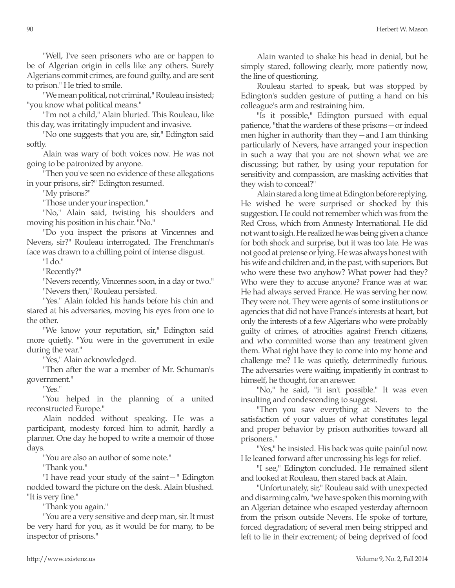"Well, I've seen prisoners who are or happen to be of Algerian origin in cells like any others. Surely Algerians commit crimes, are found guilty, and are sent to prison." He tried to smile.

"We mean political, not criminal," Rouleau insisted; "you know what political means."

"I'm not a child," Alain blurted. This Rouleau, like this day, was irritatingly impudent and invasive.

"No one suggests that you are, sir," Edington said softly.

Alain was wary of both voices now. He was not going to be patronized by anyone.

"Then you've seen no evidence of these allegations in your prisons, sir?" Edington resumed.

"My prisons?"

"Those under your inspection."

"No," Alain said, twisting his shoulders and moving his position in his chair. "No."

"Do you inspect the prisons at Vincennes and Nevers, sir?" Rouleau interrogated. The Frenchman's face was drawn to a chilling point of intense disgust.

"I do."

"Recently?"

"Nevers recently, Vincennes soon, in a day or two." "Nevers then," Rouleau persisted.

"Yes." Alain folded his hands before his chin and stared at his adversaries, moving his eyes from one to the other.

"We know your reputation, sir," Edington said more quietly. "You were in the government in exile during the war."

"Yes," Alain acknowledged.

"Then after the war a member of Mr. Schuman's government."

"Yes."

"You helped in the planning of a united reconstructed Europe."

Alain nodded without speaking. He was a participant, modesty forced him to admit, hardly a planner. One day he hoped to write a memoir of those days.

"You are also an author of some note."

"Thank you."

"I have read your study of the saint—" Edington nodded toward the picture on the desk. Alain blushed. "It is very fine."

"Thank you again."

"You are a very sensitive and deep man, sir. It must be very hard for you, as it would be for many, to be inspector of prisons."

Alain wanted to shake his head in denial, but he simply stared, following clearly, more patiently now, the line of questioning.

Rouleau started to speak, but was stopped by Edington's sudden gesture of putting a hand on his colleague's arm and restraining him.

"Is it possible," Edington pursued with equal patience, "that the wardens of these prisons—or indeed men higher in authority than they—and I am thinking particularly of Nevers, have arranged your inspection in such a way that you are not shown what we are discussing; but rather, by using your reputation for sensitivity and compassion, are masking activities that they wish to conceal?"

Alain stared a long time at Edington before replying. He wished he were surprised or shocked by this suggestion. He could not remember which was from the Red Cross, which from Amnesty International. He did not want to sigh. He realized he was being given a chance for both shock and surprise, but it was too late. He was not good at pretense or lying. He was always honest with his wife and children and, in the past, with superiors. But who were these two anyhow? What power had they? Who were they to accuse anyone? France was at war. He had always served France. He was serving her now. They were not. They were agents of some institutions or agencies that did not have France's interests at heart, but only the interests of a few Algerians who were probably guilty of crimes, of atrocities against French citizens, and who committed worse than any treatment given them. What right have they to come into my home and challenge me? He was quietly, determinedly furious. The adversaries were waiting, impatiently in contrast to himself, he thought, for an answer.

"No," he said, "it isn't possible." It was even insulting and condescending to suggest.

"Then you saw everything at Nevers to the satisfaction of your values of what constitutes legal and proper behavior by prison authorities toward all prisoners."

"Yes," he insisted. His back was quite painful now. He leaned forward after uncrossing his legs for relief.

"I see," Edington concluded. He remained silent and looked at Rouleau, then stared back at Alain.

"Unfortunately, sir," Rouleau said with unexpected and disarming calm, "we have spoken this morning with an Algerian detainee who escaped yesterday afternoon from the prison outside Nevers. He spoke of torture, forced degradation; of several men being stripped and left to lie in their excrement; of being deprived of food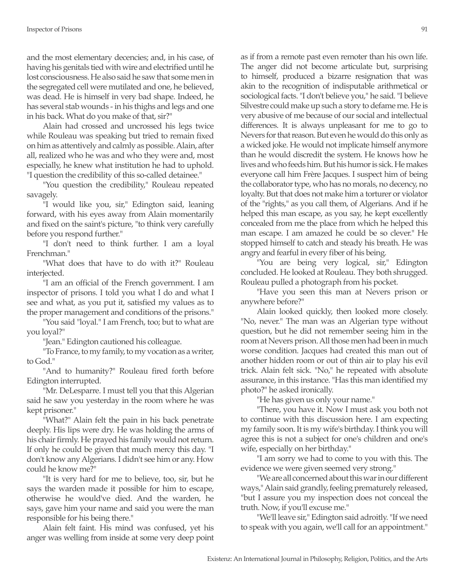and the most elementary decencies; and, in his case, of having his genitals tied with wire and electrified until he lost consciousness. He also said he saw that some men in the segregated cell were mutilated and one, he believed, was dead. He is himself in very bad shape. Indeed, he has several stab wounds - in his thighs and legs and one in his back. What do you make of that, sir?"

Alain had crossed and uncrossed his legs twice while Rouleau was speaking but tried to remain fixed on him as attentively and calmly as possible. Alain, after all, realized who he was and who they were and, most especially, he knew what institution he had to uphold. "I question the credibility of this so-called detainee."

"You question the credibility," Rouleau repeated savagely.

"I would like you, sir," Edington said, leaning forward, with his eyes away from Alain momentarily and fixed on the saint's picture, "to think very carefully before you respond further."

"I don't need to think further. I am a loyal Frenchman."

"What does that have to do with it?" Rouleau interjected.

"I am an official of the French government. I am inspector of prisons. I told you what I do and what I see and what, as you put it, satisfied my values as to the proper management and conditions of the prisons."

"You said "loyal." I am French, too; but to what are you loyal?"

"Jean." Edington cautioned his colleague.

"To France, to my family, to my vocation as a writer, to God."

"And to humanity?" Rouleau fired forth before Edington interrupted.

"Mr. DeLesparre. I must tell you that this Algerian said he saw you yesterday in the room where he was kept prisoner."

"What?" Alain felt the pain in his back penetrate deeply. His lips were dry. He was holding the arms of his chair firmly. He prayed his family would not return. If only he could be given that much mercy this day. "I don't know any Algerians. I didn't see him or any. How could he know me?"

"It is very hard for me to believe, too, sir, but he says the warden made it possible for him to escape, otherwise he would've died. And the warden, he says, gave him your name and said you were the man responsible for his being there."

Alain felt faint. His mind was confused, yet his anger was welling from inside at some very deep point as if from a remote past even remoter than his own life. The anger did not become articulate but, surprising to himself, produced a bizarre resignation that was akin to the recognition of indisputable arithmetical or sociological facts. "I don't believe you," he said. "I believe Silvestre could make up such a story to defame me. He is very abusive of me because of our social and intellectual differences. It is always unpleasant for me to go to Nevers for that reason. But even he would do this only as a wicked joke. He would not implicate himself anymore than he would discredit the system. He knows how he lives and who feeds him. But his humor is sick. He makes everyone call him Frère Jacques. I suspect him of being the collaborator type, who has no morals, no decency, no loyalty. But that does not make him a torturer or violator of the "rights," as you call them, of Algerians. And if he helped this man escape, as you say, he kept excellently concealed from me the place from which he helped this man escape. I am amazed he could be so clever." He stopped himself to catch and steady his breath. He was angry and fearful in every fiber of his being.

"You are being very logical, sir," Edington concluded. He looked at Rouleau. They both shrugged. Rouleau pulled a photograph from his pocket.

"Have you seen this man at Nevers prison or anywhere before?"

Alain looked quickly, then looked more closely. "No, never." The man was an Algerian type without question, but he did not remember seeing him in the room at Nevers prison. All those men had been in much worse condition. Jacques had created this man out of another hidden room or out of thin air to play his evil trick. Alain felt sick. "No," he repeated with absolute assurance, in this instance. "Has this man identified my photo?" he asked ironically.

"He has given us only your name."

"There, you have it. Now I must ask you both not to continue with this discussion here. I am expecting my family soon. It is my wife's birthday. I think you will agree this is not a subject for one's children and one's wife, especially on her birthday."

"I am sorry we had to come to you with this. The evidence we were given seemed very strong."

"We are all concerned about this war in our different ways," Alain said grandly, feeling prematurely released, "but I assure you my inspection does not conceal the truth. Now, if you'll excuse me."

"We'll leave sir," Edington said adroitly. "If we need to speak with you again, we'll call for an appointment."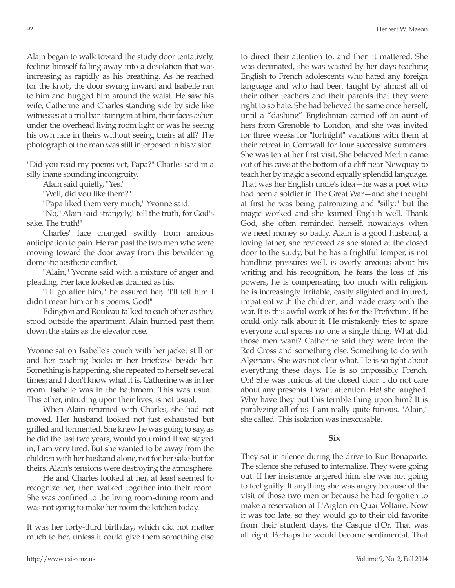Alain began to walk toward the study door tentatively, feeling himself falling away into a desolation that was increasing as rapidly as his breathing. As he reached for the knob, the door swung inward and Isabelle ran to him and hugged him around the waist. He saw his wife, Catherine and Charles standing side by side like witnesses at a trial bar staring in at him, their faces ashen under the overhead living room light or was he seeing his own face in theirs without seeing theirs at all? The photograph of the man was still interposed in his vision.

"Did you read my poems yet, Papa?" Charles said in a silly inane sounding incongruity.

Alain said quietly, "Yes."

"Well, did you like them?"

"Papa liked them very much," Yvonne said.

"No," Alain said strangely," tell the truth, for God's sake. The truth!"

Charles' face changed swiftly from anxious anticipation to pain. He ran past the two men who were moving toward the door away from this bewildering domestic aesthetic conflict.

"Alain," Yvonne said with a mixture of anger and pleading. Her face looked as drained as his.

"I'll go after him," he assured her, "I'll tell him I didn't mean him or his poems. God!"

Edington and Rouleau talked to each other as they stood outside the apartment. Alain hurried past them down the stairs as the elevator rose.

Yvonne sat on Isabelle's couch with her jacket still on and her teaching books in her briefcase beside her. Something is happening, she repeated to herself several times; and I don't know what it is, Catherine was in her room. Isabelle was in the bathroom. This was usual. This other, intruding upon their lives, is not usual.

When Alain returned with Charles, she had not moved. Her husband looked not just exhausted but grilled and tormented. She knew he was going to say, as he did the last two years, would you mind if we stayed in, I am very tired. But she wanted to be away from the children with her husband alone, not for her sake but for theirs. Alain's tensions were destroying the atmosphere.

He and Charles looked at her, at least seemed to recognize her, then walked together into their room. She was confined to the living room-dining room and was not going to make her room the kitchen today.

It was her forty-third birthday, which did not matter much to her, unless it could give them something else to direct their attention to, and then it mattered. She was decimated, she was wasted by her days teaching English to French adolescents who hated any foreign language and who had been taught by almost all of their other teachers and their parents that they were right to so hate. She had believed the same once herself, until a "dashing" Englishman carried off an aunt of hers from Grenoble to London, and she was invited for three weeks for "fortnight" vacations with them at their retreat in Cornwall for four successive summers. She was ten at her first visit. She believed Merlin came out of his cave at the bottom of a cliff near Newquay to teach her by magic a second equally splendid language. That was her English uncle's idea—he was a poet who had been a soldier in The Great War—and she thought at first he was being patronizing and "silly;" but the magic worked and she learned English well. Thank God, she often reminded herself, nowadays when we need money so badly. Alain is a good husband, a loving father, she reviewed as she stared at the closed door to the study, but he has a frightful temper, is not handling pressures well, is overly anxious about his writing and his recognition, he fears the loss of his powers, he is compensating too much with religion, he is increasingly irritable, easily slighted and injured, impatient with the children, and made crazy with the war. It is this awful work of his for the Prefecture. If he could only talk about it. He mistakenly tries to spare everyone and spares no one a single thing. What did those men want? Catherine said they were from the Red Cross and something else. Something to do with Algerians. She was not clear what. He is so tight about everything these days. He is so impossibly French. Oh! She was furious at the closed door. I do not care about any presents. I want attention. Ha! she laughed. Why have they put this terrible thing upon him? It is paralyzing all of us. I am really quite furious. "Alain," she called. This isolation was inexcusable.

# **Six**

They sat in silence during the drive to Rue Bonaparte. The silence she refused to internalize. They were going out. If her insistence angered him, she was not going to feel guilty. If anything she was angry because of the visit of those two men or because he had forgotten to make a reservation at L'Aiglon on Quai Voltaire. Now it was too late, so they would go to their old favorite from their student days, the Casque d'Or. That was all right. Perhaps he would become sentimental. That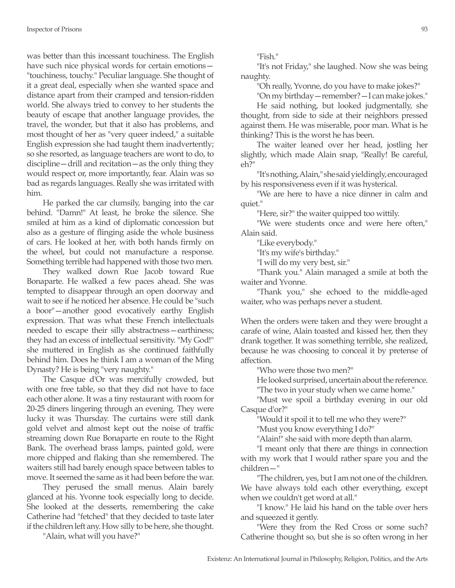was better than this incessant touchiness. The English have such nice physical words for certain emotions— "touchiness, touchy." Peculiar language. She thought of it a great deal, especially when she wanted space and distance apart from their cramped and tension-ridden world. She always tried to convey to her students the beauty of escape that another language provides, the travel, the wonder, but that it also has problems, and most thought of her as "very queer indeed," a suitable English expression she had taught them inadvertently; so she resorted, as language teachers are wont to do, to discipline—drill and recitation—as the only thing they would respect or, more importantly, fear. Alain was so bad as regards languages. Really she was irritated with him.

He parked the car clumsily, banging into the car behind. "Damn!" At least, he broke the silence. She smiled at him as a kind of diplomatic concession but also as a gesture of flinging aside the whole business of cars. He looked at her, with both hands firmly on the wheel, but could not manufacture a response. Something terrible had happened with those two men.

They walked down Rue Jacob toward Rue Bonaparte. He walked a few paces ahead. She was tempted to disappear through an open doorway and wait to see if he noticed her absence. He could be "such a boor"—another good evocatively earthy English expression. That was what these French intellectuals needed to escape their silly abstractness—earthiness; they had an excess of intellectual sensitivity. "My God!" she muttered in English as she continued faithfully behind him. Does he think I am a woman of the Ming Dynasty? He is being "very naughty."

The Casque d'Or was mercifully crowded, but with one free table, so that they did not have to face each other alone. It was a tiny restaurant with room for 20-25 diners lingering through an evening. They were lucky it was Thursday. The curtains were still dank gold velvet and almost kept out the noise of traffic streaming down Rue Bonaparte en route to the Right Bank. The overhead brass lamps, painted gold, were more chipped and flaking than she remembered. The waiters still had barely enough space between tables to move. It seemed the same as it had been before the war.

They perused the small menus. Alain barely glanced at his. Yvonne took especially long to decide. She looked at the desserts, remembering the cake Catherine had "fetched" that they decided to taste later if the children left any. How silly to be here, she thought.

"Alain, what will you have?"

"Fish."

"It's not Friday," she laughed. Now she was being naughty.

"Oh really, Yvonne, do you have to make jokes?"

"On my birthday—remember?—I can make jokes."

He said nothing, but looked judgmentally, she thought, from side to side at their neighbors pressed against them. He was miserable, poor man. What is he thinking? This is the worst he has been.

The waiter leaned over her head, jostling her slightly, which made Alain snap, "Really! Be careful, eh?"

"It's nothing, Alain," she said yieldingly, encouraged by his responsiveness even if it was hysterical.

"We are here to have a nice dinner in calm and quiet."

"Here, sir?" the waiter quipped too wittily.

"We were students once and were here often," Alain said.

"Like everybody."

"It's my wife's birthday."

"I will do my very best, sir."

"Thank you." Alain managed a smile at both the waiter and Yvonne.

"Thank you," she echoed to the middle-aged waiter, who was perhaps never a student.

When the orders were taken and they were brought a carafe of wine, Alain toasted and kissed her, then they drank together. It was something terrible, she realized, because he was choosing to conceal it by pretense of affection.

"Who were those two men?"

He looked surprised, uncertain about the reference.

"The two in your study when we came home."

"Must we spoil a birthday evening in our old Casque d'or?"

"Would it spoil it to tell me who they were?"

"Must you know everything I do?"

"Alain!" she said with more depth than alarm.

"I meant only that there are things in connection with my work that I would rather spare you and the children—"

"The children, yes, but I am not one of the children. We have always told each other everything, except when we couldn't get word at all."

"I know." He laid his hand on the table over hers and squeezed it gently.

"Were they from the Red Cross or some such? Catherine thought so, but she is so often wrong in her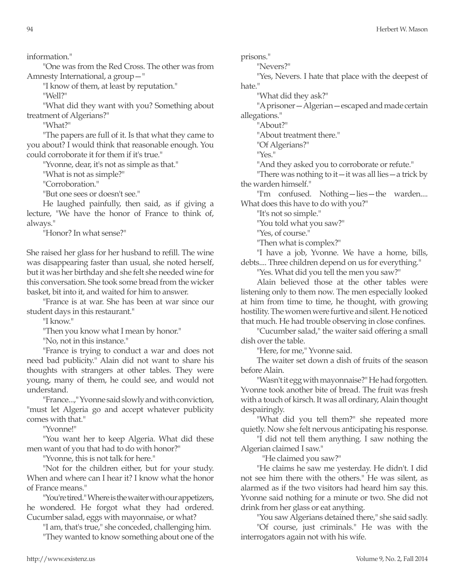information."

"One was from the Red Cross. The other was from Amnesty International, a group—"

"I know of them, at least by reputation."

"Well?"

"What did they want with you? Something about treatment of Algerians?"

"What?"

"The papers are full of it. Is that what they came to you about? I would think that reasonable enough. You could corroborate it for them if it's true."

"Yvonne, dear, it's not as simple as that."

"What is not as simple?"

"Corroboration."

"But one sees or doesn't see."

He laughed painfully, then said, as if giving a lecture, "We have the honor of France to think of, always."

"Honor? In what sense?"

She raised her glass for her husband to refill. The wine was disappearing faster than usual, she noted herself, but it was her birthday and she felt she needed wine for this conversation. She took some bread from the wicker basket, bit into it, and waited for him to answer.

"France is at war. She has been at war since our student days in this restaurant."

"I know."

"Then you know what I mean by honor."

"No, not in this instance."

"France is trying to conduct a war and does not need bad publicity." Alain did not want to share his thoughts with strangers at other tables. They were young, many of them, he could see, and would not understand.

"France...," Yvonne said slowly and with conviction, "must let Algeria go and accept whatever publicity comes with that."

"Yvonne!"

"You want her to keep Algeria. What did these men want of you that had to do with honor?"

"Yvonne, this is not talk for here."

"Not for the children either, but for your study. When and where can I hear it? I know what the honor of France means."

"You're tired." Where is the waiter with our appetizers, he wondered. He forgot what they had ordered. Cucumber salad, eggs with mayonnaise, or what?

"I am, that's true," she conceded, challenging him.

"They wanted to know something about one of the

prisons."

"Nevers?"

"Yes, Nevers. I hate that place with the deepest of hate."

"What did they ask?"

"A prisoner—Algerian—escaped and made certain allegations."

"About?"

"About treatment there."

"Of Algerians?"

"Yes."

"And they asked you to corroborate or refute."

"There was nothing to it—it was all lies—a trick by the warden himself."

"I'm confused. Nothing—lies—the warden.... What does this have to do with you?"

"It's not so simple."

"You told what you saw?"

"Yes, of course."

"Then what is complex?"

"I have a job, Yvonne. We have a home, bills, debts.... Three children depend on us for everything."

"Yes. What did you tell the men you saw?"

Alain believed those at the other tables were listening only to them now. The men especially looked at him from time to time, he thought, with growing hostility. The women were furtive and silent. He noticed that much. He had trouble observing in close confines.

"Cucumber salad," the waiter said offering a small dish over the table.

"Here, for me," Yvonne said.

The waiter set down a dish of fruits of the season before Alain.

"Wasn't it egg with mayonnaise?" He had forgotten. Yvonne took another bite of bread. The fruit was fresh with a touch of kirsch. It was all ordinary, Alain thought despairingly.

"What did you tell them?" she repeated more quietly. Now she felt nervous anticipating his response.

"I did not tell them anything. I saw nothing the Algerian claimed I saw."

"He claimed you saw?"

"He claims he saw me yesterday. He didn't. I did not see him there with the others." He was silent, as alarmed as if the two visitors had heard him say this. Yvonne said nothing for a minute or two. She did not drink from her glass or eat anything.

"You saw Algerians detained there," she said sadly.

"Of course, just criminals." He was with the interrogators again not with his wife.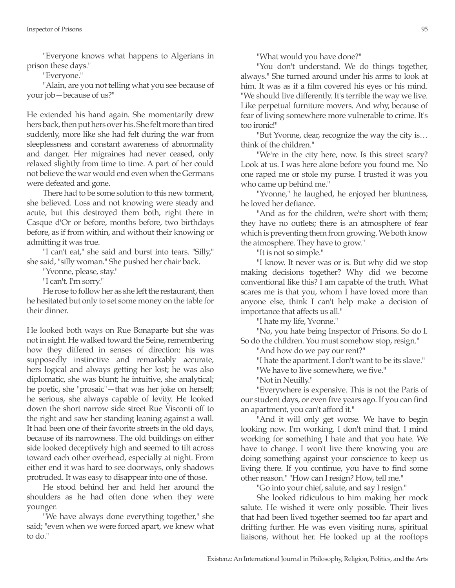"Everyone knows what happens to Algerians in prison these days."

"Everyone."

"Alain, are you not telling what you see because of your job—because of us?"

He extended his hand again. She momentarily drew hers back, then put hers over his. She felt more than tired suddenly, more like she had felt during the war from sleeplessness and constant awareness of abnormality and danger. Her migraines had never ceased, only relaxed slightly from time to time. A part of her could not believe the war would end even when the Germans were defeated and gone.

There had to be some solution to this new torment, she believed. Loss and not knowing were steady and acute, but this destroyed them both, right there in Casque d'Or or before, months before, two birthdays before, as if from within, and without their knowing or admitting it was true.

"I can't eat," she said and burst into tears. "Silly," she said, "silly woman." She pushed her chair back.

"Yvonne, please, stay."

"I can't. I'm sorry."

He rose to follow her as she left the restaurant, then he hesitated but only to set some money on the table for their dinner.

He looked both ways on Rue Bonaparte but she was not in sight. He walked toward the Seine, remembering how they differed in senses of direction: his was supposedly instinctive and remarkably accurate, hers logical and always getting her lost; he was also diplomatic, she was blunt; he intuitive, she analytical; he poetic, she "prosaic"—that was her joke on herself; he serious, she always capable of levity. He looked down the short narrow side street Rue Visconti off to the right and saw her standing leaning against a wall. It had been one of their favorite streets in the old days, because of its narrowness. The old buildings on either side looked deceptively high and seemed to tilt across toward each other overhead, especially at night. From either end it was hard to see doorways, only shadows protruded. It was easy to disappear into one of those.

He stood behind her and held her around the shoulders as he had often done when they were younger.

"We have always done everything together," she said; "even when we were forced apart, we knew what to do."

"What would you have done?"

"You don't understand. We do things together, always." She turned around under his arms to look at him. It was as if a film covered his eyes or his mind. "We should live differently. It's terrible the way we live. Like perpetual furniture movers. And why, because of fear of living somewhere more vulnerable to crime. It's too ironic!"

"But Yvonne, dear, recognize the way the city is… think of the children."

"We're in the city here, now. Is this street scary? Look at us. I was here alone before you found me. No one raped me or stole my purse. I trusted it was you who came up behind me."

"Yvonne," he laughed, he enjoyed her bluntness, he loved her defiance.

"And as for the children, we're short with them; they have no outlets; there is an atmosphere of fear which is preventing them from growing. We both know the atmosphere. They have to grow."

"It is not so simple."

"I know. It never was or is. But why did we stop making decisions together? Why did we become conventional like this? I am capable of the truth. What scares me is that you, whom I have loved more than anyone else, think I can't help make a decision of importance that affects us all."

"I hate my life, Yvonne."

"No, you hate being Inspector of Prisons. So do I. So do the children. You must somehow stop, resign."

"And how do we pay our rent?"

"I hate the apartment. I don't want to be its slave."

"We have to live somewhere, we five."

"Not in Neuilly."

"Everywhere is expensive. This is not the Paris of our student days, or even five years ago. If you can find an apartment, you can't afford it."

"And it will only get worse. We have to begin looking now. I'm working. I don't mind that. I mind working for something I hate and that you hate. We have to change. I won't live there knowing you are doing something against your conscience to keep us living there. If you continue, you have to find some other reason." "How can I resign? How, tell me."

"Go into your chief, salute, and say I resign."

She looked ridiculous to him making her mock salute. He wished it were only possible. Their lives that had been lived together seemed too far apart and drifting further. He was even visiting nuns, spiritual liaisons, without her. He looked up at the rooftops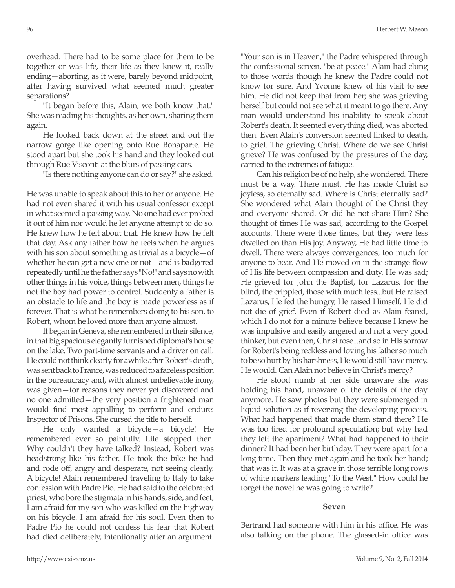overhead. There had to be some place for them to be together or was life, their life as they knew it, really ending—aborting, as it were, barely beyond midpoint, after having survived what seemed much greater separations?

"It began before this, Alain, we both know that." She was reading his thoughts, as her own, sharing them again.

He looked back down at the street and out the narrow gorge like opening onto Rue Bonaparte. He stood apart but she took his hand and they looked out through Rue Visconti at the blurs of passing cars.

"Is there nothing anyone can do or say?" she asked.

He was unable to speak about this to her or anyone. He had not even shared it with his usual confessor except in what seemed a passing way. No one had ever probed it out of him nor would he let anyone attempt to do so. He knew how he felt about that. He knew how he felt that day. Ask any father how he feels when he argues with his son about something as trivial as a bicycle—of whether he can get a new one or not—and is badgered repeatedly until he the father says "No!" and says no with other things in his voice, things between men, things he not the boy had power to control. Suddenly a father is an obstacle to life and the boy is made powerless as if forever. That is what he remembers doing to his son, to Robert, whom he loved more than anyone almost.

It began in Geneva, she remembered in their silence, in that big spacious elegantly furnished diplomat's house on the lake. Two part-time servants and a driver on call. He could not think clearly for awhile after Robert's death, was sent back to France, was reduced to a faceless position in the bureaucracy and, with almost unbelievable irony, was given—for reasons they never yet discovered and no one admitted—the very position a frightened man would find most appalling to perform and endure: Inspector of Prisons. She cursed the title to herself.

He only wanted a bicycle—a bicycle! He remembered ever so painfully. Life stopped then. Why couldn't they have talked? Instead, Robert was headstrong like his father. He took the bike he had and rode off, angry and desperate, not seeing clearly. A bicycle! Alain remembered traveling to Italy to take confession with Padre Pio. He had said to the celebrated priest, who bore the stigmata in his hands, side, and feet, I am afraid for my son who was killed on the highway on his bicycle. I am afraid for his soul. Even then to Padre Pio he could not confess his fear that Robert had died deliberately, intentionally after an argument.

"Your son is in Heaven," the Padre whispered through the confessional screen, "be at peace." Alain had clung to those words though he knew the Padre could not know for sure. And Yvonne knew of his visit to see him. He did not keep that from her; she was grieving herself but could not see what it meant to go there. Any man would understand his inability to speak about Robert's death. It seemed everything died, was aborted then. Even Alain's conversion seemed linked to death, to grief. The grieving Christ. Where do we see Christ grieve? He was confused by the pressures of the day, carried to the extremes of fatigue.

Can his religion be of no help, she wondered. There must be a way. There must. He has made Christ so joyless, so eternally sad. Where is Christ eternally sad? She wondered what Alain thought of the Christ they and everyone shared. Or did he not share Him? She thought of times He was sad, according to the Gospel accounts. There were those times, but they were less dwelled on than His joy. Anyway, He had little time to dwell. There were always convergences, too much for anyone to bear. And He moved on in the strange flow of His life between compassion and duty. He was sad; He grieved for John the Baptist, for Lazarus, for the blind, the crippled, those with much less...but He raised Lazarus, He fed the hungry, He raised Himself. He did not die of grief. Even if Robert died as Alain feared, which I do not for a minute believe because I knew he was impulsive and easily angered and not a very good thinker, but even then, Christ rose...and so in His sorrow for Robert's being reckless and loving his father so much to be so hurt by his harshness, He would still have mercy. He would. Can Alain not believe in Christ's mercy?

He stood numb at her side unaware she was holding his hand, unaware of the details of the day anymore. He saw photos but they were submerged in liquid solution as if reversing the developing process. What had happened that made them stand there? He was too tired for profound speculation; but why had they left the apartment? What had happened to their dinner? It had been her birthday. They were apart for a long time. Then they met again and he took her hand; that was it. It was at a grave in those terrible long rows of white markers leading "To the West." How could he forget the novel he was going to write?

#### **Seven**

Bertrand had someone with him in his office. He was also talking on the phone. The glassed-in office was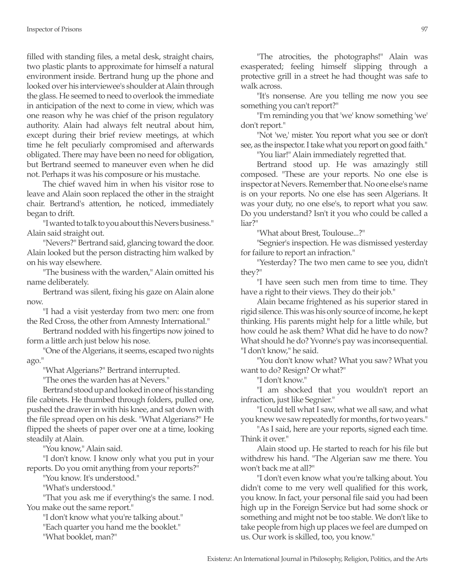filled with standing files, a metal desk, straight chairs, two plastic plants to approximate for himself a natural environment inside. Bertrand hung up the phone and looked over his interviewee's shoulder at Alain through the glass. He seemed to need to overlook the immediate in anticipation of the next to come in view, which was one reason why he was chief of the prison regulatory authority. Alain had always felt neutral about him, except during their brief review meetings, at which time he felt peculiarly compromised and afterwards obligated. There may have been no need for obligation, but Bertrand seemed to maneuver even when he did not. Perhaps it was his composure or his mustache.

The chief waved him in when his visitor rose to leave and Alain soon replaced the other in the straight chair. Bertrand's attention, he noticed, immediately began to drift.

"I wanted to talk to you about this Nevers business." Alain said straight out.

"Nevers?" Bertrand said, glancing toward the door. Alain looked but the person distracting him walked by on his way elsewhere.

"The business with the warden," Alain omitted his name deliberately.

Bertrand was silent, fixing his gaze on Alain alone now.

"I had a visit yesterday from two men: one from the Red Cross, the other from Amnesty International."

Bertrand nodded with his fingertips now joined to form a little arch just below his nose.

"One of the Algerians, it seems, escaped two nights ago."

"What Algerians?" Bertrand interrupted.

"The ones the warden has at Nevers."

Bertrand stood up and looked in one of his standing file cabinets. He thumbed through folders, pulled one, pushed the drawer in with his knee, and sat down with the file spread open on his desk. "What Algerians?" He flipped the sheets of paper over one at a time, looking steadily at Alain.

"You know," Alain said.

"I don't know. I know only what you put in your reports. Do you omit anything from your reports?"

"You know. It's understood."

"What's understood."

"That you ask me if everything's the same. I nod. You make out the same report."

"I don't know what you're talking about." "Each quarter you hand me the booklet."

"What booklet, man?"

"The atrocities, the photographs!" Alain was exasperated; feeling himself slipping through a protective grill in a street he had thought was safe to walk across.

"It's nonsense. Are you telling me now you see something you can't report?"

"I'm reminding you that 'we' know something 'we' don't report."

"Not 'we,' mister. You report what you see or don't see, as the inspector. I take what you report on good faith." "You liar!" Alain immediately regretted that.

Bertrand stood up. He was amazingly still composed. "These are your reports. No one else is inspector at Nevers. Remember that. No one else's name is on your reports. No one else has seen Algerians. It was your duty, no one else's, to report what you saw. Do you understand? Isn't it you who could be called a liar?"

"What about Brest, Toulouse...?"

"Segnier's inspection. He was dismissed yesterday for failure to report an infraction."

"Yesterday? The two men came to see you, didn't they?"

"I have seen such men from time to time. They have a right to their views. They do their job."

Alain became frightened as his superior stared in rigid silence. This was his only source of income, he kept thinking. His parents might help for a little while, but how could he ask them? What did he have to do now? What should he do? Yvonne's pay was inconsequential. "I don't know," he said.

"You don't know what? What you saw? What you want to do? Resign? Or what?"

"I don't know."

"I am shocked that you wouldn't report an infraction, just like Segnier."

"I could tell what I saw, what we all saw, and what you knew we saw repeatedly for months, for two years."

"As I said, here are your reports, signed each time. Think it over."

Alain stood up. He started to reach for his file but withdrew his hand. "The Algerian saw me there. You won't back me at all?"

"I don't even know what you're talking about. You didn't come to me very well qualified for this work, you know. In fact, your personal file said you had been high up in the Foreign Service but had some shock or something and might not be too stable. We don't like to take people from high up places we feel are dumped on us. Our work is skilled, too, you know."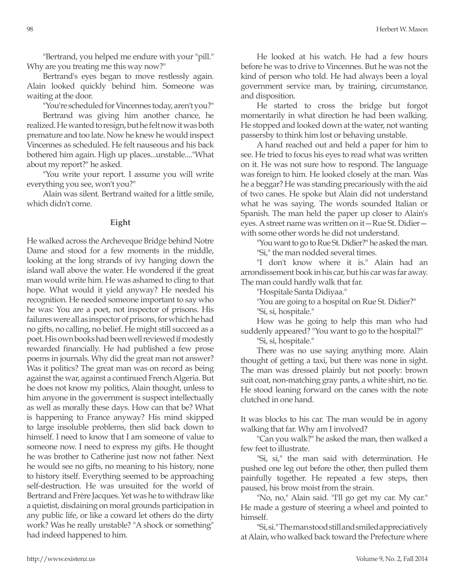"Bertrand, you helped me endure with your "pill." Why are you treating me this way now?"

Bertrand's eyes began to move restlessly again. Alain looked quickly behind him. Someone was waiting at the door.

"You're scheduled for Vincennes today, aren't you?"

Bertrand was giving him another chance, he realized. He wanted to resign, but he felt now it was both premature and too late. Now he knew he would inspect Vincennes as scheduled. He felt nauseous and his back bothered him again. High up places...unstable...."What about my report?" he asked.

"You write your report. I assume you will write everything you see, won't you?"

Alain was silent. Bertrand waited for a little smile, which didn't come.

## **Eight**

He walked across the Archeveque Bridge behind Notre Dame and stood for a few moments in the middle, looking at the long strands of ivy hanging down the island wall above the water. He wondered if the great man would write him. He was ashamed to cling to that hope. What would it yield anyway? He needed his recognition. He needed someone important to say who he was: You are a poet, not inspector of prisons. His failures were all as inspector of prisons, for which he had no gifts, no calling, no belief. He might still succeed as a poet. His own books had been well reviewed if modestly rewarded financially. He had published a few prose poems in journals. Why did the great man not answer? Was it politics? The great man was on record as being against the war, against a continued French Algeria. But he does not know my politics, Alain thought, unless to him anyone in the government is suspect intellectually as well as morally these days. How can that be? What is happening to France anyway? His mind skipped to large insoluble problems, then slid back down to himself. I need to know that I am someone of value to someone now. I need to express my gifts. He thought he was brother to Catherine just now not father. Next he would see no gifts, no meaning to his history, none to history itself. Everything seemed to be approaching self-destruction. He was unsuited for the world of Bertrand and Frère Jacques. Yet was he to withdraw like a quietist, disdaining on moral grounds participation in any public life, or like a coward let others do the dirty work? Was he really unstable? "A shock or something" had indeed happened to him.

He looked at his watch. He had a few hours before he was to drive to Vincennes. But he was not the kind of person who told. He had always been a loyal government service man, by training, circumstance, and disposition.

He started to cross the bridge but forgot momentarily in what direction he had been walking. He stopped and looked down at the water, not wanting passersby to think him lost or behaving unstable.

A hand reached out and held a paper for him to see. He tried to focus his eyes to read what was written on it. He was not sure how to respond. The language was foreign to him. He looked closely at the man. Was he a beggar? He was standing precariously with the aid of two canes. He spoke but Alain did not understand what he was saying. The words sounded Italian or Spanish. The man held the paper up closer to Alain's eyes. A street name was written on it—Rue St. Didier with some other words he did not understand.

"You want to go to Rue St. Didier?" he asked the man. "Si," the man nodded several times.

"I don't know where it is." Alain had an arrondissement book in his car, but his car was far away. The man could hardly walk that far.

"Hospitale Santa Didiyaa."

"You are going to a hospital on Rue St. Didier?" "Si, si, hospitale."

How was he going to help this man who had suddenly appeared? "You want to go to the hospital?"

"Si, si, hospitale."

There was no use saying anything more. Alain thought of getting a taxi, but there was none in sight. The man was dressed plainly but not poorly: brown suit coat, non-matching gray pants, a white shirt, no tie. He stood leaning forward on the canes with the note clutched in one hand.

It was blocks to his car. The man would be in agony walking that far. Why am I involved?

"Can you walk?" he asked the man, then walked a few feet to illustrate.

"Si, si," the man said with determination. He pushed one leg out before the other, then pulled them painfully together. He repeated a few steps, then paused, his brow moist from the strain.

"No, no," Alain said. "I'll go get my car. My car." He made a gesture of steering a wheel and pointed to himself.

"Si, si." The man stood still and smiled appreciatively at Alain, who walked back toward the Prefecture where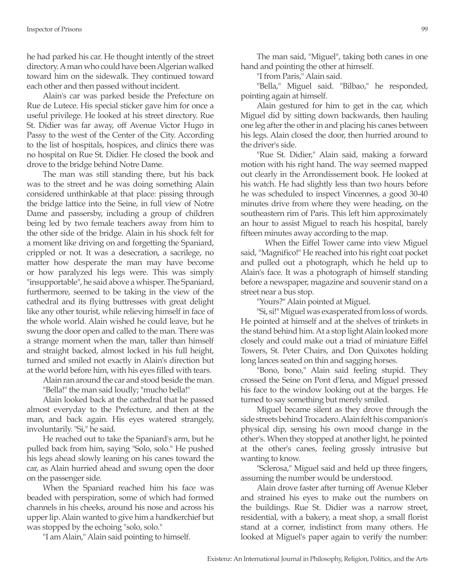he had parked his car. He thought intently of the street directory. A man who could have been Algerian walked toward him on the sidewalk. They continued toward each other and then passed without incident.

Alain's car was parked beside the Prefecture on Rue de Lutece. His special sticker gave him for once a useful privilege. He looked at his street directory. Rue St. Didier was far away, off Avenue Victor Hugo in Passy to the west of the Center of the City. According to the list of hospitals, hospices, and clinics there was no hospital on Rue St. Didier. He closed the book and drove to the bridge behind Notre Dame.

The man was still standing there, but his back was to the street and he was doing something Alain considered unthinkable at that place: pissing through the bridge lattice into the Seine, in full view of Notre Dame and passersby, including a group of children being led by two female teachers away from him to the other side of the bridge. Alain in his shock felt for a moment like driving on and forgetting the Spaniard, crippled or not. It was a desecration, a sacrilege, no matter how desperate the man may have become or how paralyzed his legs were. This was simply "insupportable", he said above a whisper. The Spaniard, furthermore, seemed to be taking in the view of the cathedral and its flying buttresses with great delight like any other tourist, while relieving himself in face of the whole world. Alain wished he could leave, but he swung the door open and called to the man. There was a strange moment when the man, taller than himself and straight backed, almost locked in his full height, turned and smiled not exactly in Alain's direction but at the world before him, with his eyes filled with tears.

Alain ran around the car and stood beside the man.

"Bella!" the man said loudly; "mucho bella!"

Alain looked back at the cathedral that he passed almost everyday to the Prefecture, and then at the man, and back again. His eyes watered strangely, involuntarily. "Si," he said.

He reached out to take the Spaniard's arm, but he pulled back from him, saying "Solo, solo." He pushed his legs ahead slowly leaning on his canes toward the car, as Alain hurried ahead and swung open the door on the passenger side.

When the Spaniard reached him his face was beaded with perspiration, some of which had formed channels in his cheeks, around his nose and across his upper lip. Alain wanted to give him a handkerchief but was stopped by the echoing "solo, solo."

"I am Alain," Alain said pointing to himself.

The man said, "Miguel", taking both canes in one hand and pointing the other at himself.

"I from Paris," Alain said.

"Bella," Miguel said. "Bilbao," he responded, pointing again at himself.

Alain gestured for him to get in the car, which Miguel did by sitting down backwards, then hauling one leg after the other in and placing his canes between his legs. Alain closed the door, then hurried around to the driver's side.

"Rue St. Didier," Alain said, making a forward motion with his right hand. The way seemed mapped out clearly in the Arrondissement book. He looked at his watch. He had slightly less than two hours before he was scheduled to inspect Vincennes, a good 30-40 minutes drive from where they were heading, on the southeastern rim of Paris. This left him approximately an hour to assist Miguel to reach his hospital, barely fifteen minutes away according to the map.

 When the Eiffel Tower came into view Miguel said, "Magnifico!" He reached into his right coat pocket and pulled out a photograph, which he held up to Alain's face. It was a photograph of himself standing before a newspaper, magazine and souvenir stand on a street near a bus stop.

"Yours?" Alain pointed at Miguel.

"Si, si!" Miguel was exasperated from loss of words. He pointed at himself and at the shelves of trinkets in the stand behind him. At a stop light Alain looked more closely and could make out a triad of miniature Eiffel Towers, St. Peter Chairs, and Don Quixotes holding long lances seated on thin and sagging horses.

"Bono, bono," Alain said feeling stupid. They crossed the Seine on Pont d'Iena, and Miguel pressed his face to the window looking out at the barges. He turned to say something but merely smiled.

Miguel became silent as they drove through the side streets behind Trocadero. Alain felt his companion's physical dip, sensing his own mood change in the other's. When they stopped at another light, he pointed at the other's canes, feeling grossly intrusive but wanting to know.

"Sclerosa," Miguel said and held up three fingers, assuming the number would be understood.

Alain drove faster after turning off Avenue Kleber and strained his eyes to make out the numbers on the buildings. Rue St. Didier was a narrow street, residential, with a bakery, a meat shop, a small florist stand at a corner, indistinct from many others. He looked at Miguel's paper again to verify the number: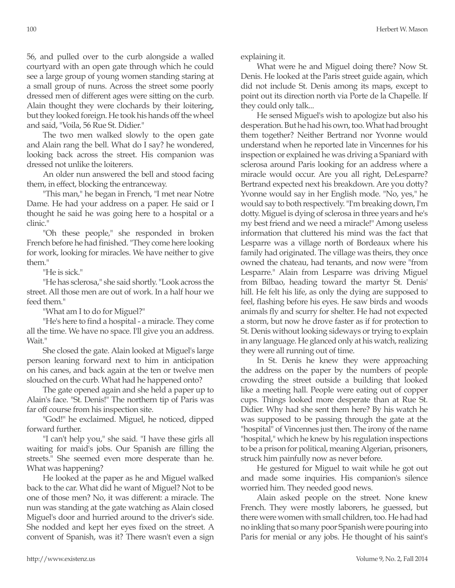56, and pulled over to the curb alongside a walled courtyard with an open gate through which he could see a large group of young women standing staring at a small group of nuns. Across the street some poorly dressed men of different ages were sitting on the curb. Alain thought they were clochards by their loitering, but they looked foreign. He took his hands off the wheel and said, "Voila, 56 Rue St. Didier."

The two men walked slowly to the open gate and Alain rang the bell. What do I say? he wondered, looking back across the street. His companion was dressed not unlike the loiterers.

An older nun answered the bell and stood facing them, in effect, blocking the entranceway.

"This man," he began in French, "I met near Notre Dame. He had your address on a paper. He said or I thought he said he was going here to a hospital or a clinic."

"Oh these people," she responded in broken French before he had finished. "They come here looking for work, looking for miracles. We have neither to give them."

"He is sick."

"He has sclerosa," she said shortly. "Look across the street. All those men are out of work. In a half hour we feed them."

"What am I to do for Miguel?"

"He's here to find a hospital - a miracle. They come all the time. We have no space. I'll give you an address. Wait."

She closed the gate. Alain looked at Miguel's large person leaning forward next to him in anticipation on his canes, and back again at the ten or twelve men slouched on the curb. What had he happened onto?

The gate opened again and she held a paper up to Alain's face. "St. Denis!" The northern tip of Paris was far off course from his inspection site.

"God!" he exclaimed. Miguel, he noticed, dipped forward further.

"I can't help you," she said. "I have these girls all waiting for maid's jobs. Our Spanish are filling the streets." She seemed even more desperate than he. What was happening?

He looked at the paper as he and Miguel walked back to the car. What did he want of Miguel? Not to be one of those men? No, it was different: a miracle. The nun was standing at the gate watching as Alain closed Miguel's door and hurried around to the driver's side. She nodded and kept her eyes fixed on the street. A convent of Spanish, was it? There wasn't even a sign explaining it.

What were he and Miguel doing there? Now St. Denis. He looked at the Paris street guide again, which did not include St. Denis among its maps, except to point out its direction north via Porte de la Chapelle. If they could only talk...

He sensed Miguel's wish to apologize but also his desperation. But he had his own, too. What had brought them together? Neither Bertrand nor Yvonne would understand when he reported late in Vincennes for his inspection or explained he was driving a Spaniard with sclerosa around Paris looking for an address where a miracle would occur. Are you all right, DeLesparre? Bertrand expected next his breakdown. Are you dotty? Yvonne would say in her English mode. "No, yes," he would say to both respectively. "I'm breaking down, I'm dotty. Miguel is dying of sclerosa in three years and he's my best friend and we need a miracle!" Among useless information that cluttered his mind was the fact that Lesparre was a village north of Bordeaux where his family had originated. The village was theirs, they once owned the chateau, had tenants, and now were "from Lesparre." Alain from Lesparre was driving Miguel from Bilbao, heading toward the martyr St. Denis' hill. He felt his life, as only the dying are supposed to feel, flashing before his eyes. He saw birds and woods animals fly and scurry for shelter. He had not expected a storm, but now he drove faster as if for protection to St. Denis without looking sideways or trying to explain in any language. He glanced only at his watch, realizing they were all running out of time.

In St. Denis he knew they were approaching the address on the paper by the numbers of people crowding the street outside a building that looked like a meeting hall. People were eating out of copper cups. Things looked more desperate than at Rue St. Didier. Why had she sent them here? By his watch he was supposed to be passing through the gate at the "hospital" of Vincennes just then. The irony of the name "hospital," which he knew by his regulation inspections to be a prison for political, meaning Algerian, prisoners, struck him painfully now as never before.

He gestured for Miguel to wait while he got out and made some inquiries. His companion's silence worried him. They needed good news.

Alain asked people on the street. None knew French. They were mostly laborers, he guessed, but there were women with small children, too. He had had no inkling that so many poor Spanish were pouring into Paris for menial or any jobs. He thought of his saint's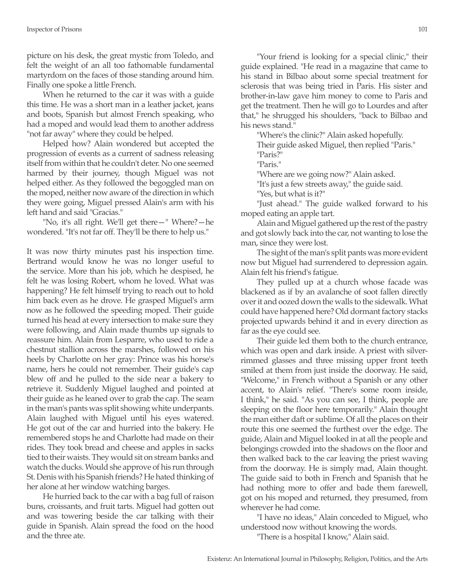picture on his desk, the great mystic from Toledo, and felt the weight of an all too fathomable fundamental martyrdom on the faces of those standing around him. Finally one spoke a little French.

When he returned to the car it was with a guide this time. He was a short man in a leather jacket, jeans and boots, Spanish but almost French speaking, who had a moped and would lead them to another address "not far away" where they could be helped.

Helped how? Alain wondered but accepted the progression of events as a current of sadness releasing itself from within that he couldn't deter. No one seemed harmed by their journey, though Miguel was not helped either. As they followed the begoggled man on the moped, neither now aware of the direction in which they were going, Miguel pressed Alain's arm with his left hand and said "Gracias."

"No, it's all right. We'll get there—" Where?—he wondered. "It's not far off. They'll be there to help us."

It was now thirty minutes past his inspection time. Bertrand would know he was no longer useful to the service. More than his job, which he despised, he felt he was losing Robert, whom he loved. What was happening? He felt himself trying to reach out to hold him back even as he drove. He grasped Miguel's arm now as he followed the speeding moped. Their guide turned his head at every intersection to make sure they were following, and Alain made thumbs up signals to reassure him. Alain from Lesparre, who used to ride a chestnut stallion across the marshes, followed on his heels by Charlotte on her gray: Prince was his horse's name, hers he could not remember. Their guide's cap blew off and he pulled to the side near a bakery to retrieve it. Suddenly Miguel laughed and pointed at their guide as he leaned over to grab the cap. The seam in the man's pants was split showing white underpants. Alain laughed with Miguel until his eyes watered. He got out of the car and hurried into the bakery. He remembered stops he and Charlotte had made on their rides. They took bread and cheese and apples in sacks tied to their waists. They would sit on stream banks and watch the ducks. Would she approve of his run through St. Denis with his Spanish friends? He hated thinking of her alone at her window watching barges.

He hurried back to the car with a bag full of raison buns, croissants, and fruit tarts. Miguel had gotten out and was towering beside the car talking with their guide in Spanish. Alain spread the food on the hood and the three ate.

"Your friend is looking for a special clinic," their guide explained. "He read in a magazine that came to his stand in Bilbao about some special treatment for sclerosis that was being tried in Paris. His sister and brother-in-law gave him money to come to Paris and get the treatment. Then he will go to Lourdes and after that," he shrugged his shoulders, "back to Bilbao and his news stand."

"Where's the clinic?" Alain asked hopefully.

Their guide asked Miguel, then replied "Paris." "Paris?"

"Paris."

"Where are we going now?" Alain asked.

"It's just a few streets away," the guide said.

"Yes, but what is it?"

"Just ahead." The guide walked forward to his moped eating an apple tart.

Alain and Miguel gathered up the rest of the pastry and got slowly back into the car, not wanting to lose the man, since they were lost.

The sight of the man's split pants was more evident now but Miguel had surrendered to depression again. Alain felt his friend's fatigue.

They pulled up at a church whose facade was blackened as if by an avalanche of soot fallen directly over it and oozed down the walls to the sidewalk. What could have happened here? Old dormant factory stacks projected upwards behind it and in every direction as far as the eye could see.

Their guide led them both to the church entrance, which was open and dark inside. A priest with silverrimmed glasses and three missing upper front teeth smiled at them from just inside the doorway. He said, "Welcome," in French without a Spanish or any other accent, to Alain's relief. "There's some room inside, I think," he said. "As you can see, I think, people are sleeping on the floor here temporarily." Alain thought the man either daft or sublime. Of all the places on their route this one seemed the furthest over the edge. The guide, Alain and Miguel looked in at all the people and belongings crowded into the shadows on the floor and then walked back to the car leaving the priest waving from the doorway. He is simply mad, Alain thought. The guide said to both in French and Spanish that he had nothing more to offer and bade them farewell, got on his moped and returned, they presumed, from wherever he had come.

"I have no ideas," Alain conceded to Miguel, who understood now without knowing the words.

"There is a hospital I know," Alain said.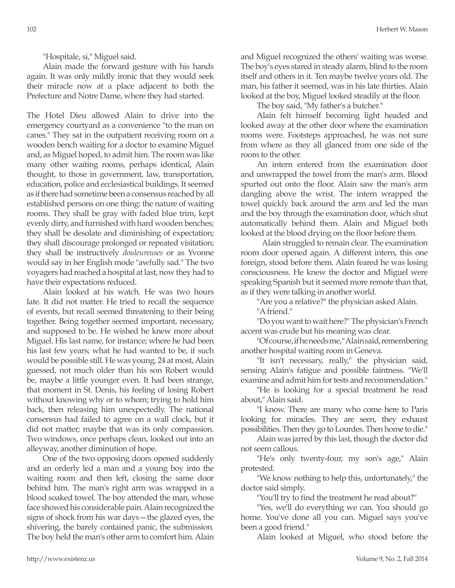"Hospitale, si," Miguel said.

Alain made the forward gesture with his hands again. It was only mildly ironic that they would seek their miracle now at a place adjacent to both the Prefecture and Notre Dame, where they had started.

The Hotel Dieu allowed Alain to drive into the emergency courtyard as a convenience "to the man on canes." They sat in the outpatient receiving room on a wooden bench waiting for a doctor to examine Miguel and, as Miguel hoped, to admit him. The room was like many other waiting rooms, perhaps identical, Alain thought, to those in government, law, transportation, education, police and ecclesiastical buildings. It seemed as if there had sometime been a consensus reached by all established persons on one thing: the nature of waiting rooms. They shall be gray with faded blue trim, kept evenly dirty, and furnished with hard wooden benches; they shall be desolate and diminishing of expectation; they shall discourage prolonged or repeated visitation; they shall be instructively *douleureuses* or as Yvonne would say in her English mode "awfully sad." The two voyagers had reached a hospital at last, now they had to have their expectations reduced.

Alain looked at his watch. He was two hours late. It did not matter. He tried to recall the sequence of events, but recall seemed threatening to their being together. Being together seemed important, necessary, and supposed to be. He wished he knew more about Miguel. His last name, for instance; where he had been his last few years; what he had wanted to be, if such would be possible still. He was young, 24 at most, Alain guessed, not much older than his son Robert would be, maybe a little younger even. It had been strange, that moment in St. Denis, his feeling of losing Robert without knowing why or to whom; trying to hold him back, then releasing him unexpectedly. The national consensus had failed to agree on a wall clock, but it did not matter; maybe that was its only compassion. Two windows, once perhaps clean, looked out into an alleyway, another diminution of hope.

One of the two opposing doors opened suddenly and an orderly led a man and a young boy into the waiting room and then left, closing the same door behind him. The man's right arm was wrapped in a blood soaked towel. The boy attended the man, whose face showed his considerable pain. Alain recognized the signs of shock from his war days—the glazed eyes, the shivering, the barely contained panic, the submission. The boy held the man's other arm to comfort him. Alain and Miguel recognized the others' waiting was worse. The boy's eyes stared in steady alarm, blind to the room itself and others in it. Ten maybe twelve years old. The man, his father it seemed, was in his late thirties. Alain looked at the boy, Miguel looked steadily at the floor.

The boy said, "My father's a butcher."

Alain felt himself becoming light headed and looked away at the other door where the examination rooms were. Footsteps approached, he was not sure from where as they all glanced from one side of the room to the other.

An intern entered from the examination door and unwrapped the towel from the man's arm. Blood spurted out onto the floor. Alain saw the man's arm dangling above the wrist. The intern wrapped the towel quickly back around the arm and led the man and the boy through the examination door, which shut automatically behind them. Alain and Miguel both looked at the blood drying on the floor before them.

 Alain struggled to remain clear. The examination room door opened again. A different intern, this one foreign, stood before them. Alain feared he was losing consciousness. He knew the doctor and Miguel were speaking Spanish but it seemed more remote than that, as if they were talking in another world.

"Are you a relative?" the physician asked Alain. "A friend."

"Do you want to wait here?" The physician's French accent was crude but his meaning was clear.

"Of course, if he needs me," Alain said, remembering another hospital waiting room in Geneva.

"It isn't necessary, really," the physician said, sensing Alain's fatigue and possible faintness. "We'll examine and admit him for tests and recommendation."

"He is looking for a special treatment he read about," Alain said.

"I know. There are many who come here to Paris looking for miracles. They are seen, they exhaust possibilities. Then they go to Lourdes. Then home to die."

Alain was jarred by this last, though the doctor did not seem callous.

"He's only twenty-four, my son's age," Alain protested.

"We know nothing to help this, unfortunately," the doctor said simply.

"You'll try to find the treatment he read about?"

"Yes, we'll do everything we can. You should go home. You've done all you can. Miguel says you've been a good friend."

Alain looked at Miguel, who stood before the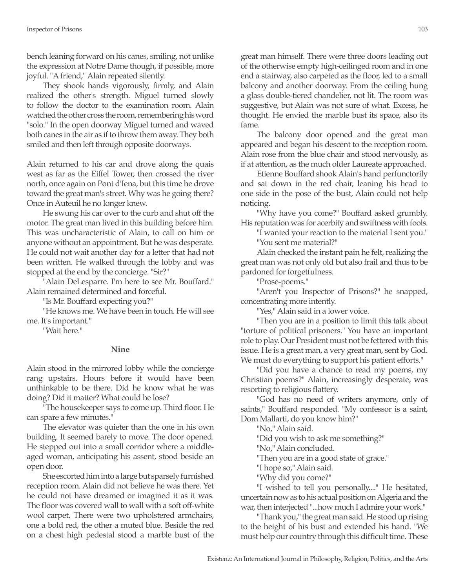bench leaning forward on his canes, smiling, not unlike the expression at Notre Dame though, if possible, more joyful. "A friend," Alain repeated silently.

They shook hands vigorously, firmly, and Alain realized the other's strength. Miguel turned slowly to follow the doctor to the examination room. Alain watched the other cross the room, remembering his word "solo." In the open doorway Miguel turned and waved both canes in the air as if to throw them away. They both smiled and then left through opposite doorways.

Alain returned to his car and drove along the quais west as far as the Eiffel Tower, then crossed the river north, once again on Pont d'Iena, but this time he drove toward the great man's street. Why was he going there? Once in Auteuil he no longer knew.

He swung his car over to the curb and shut off the motor. The great man lived in this building before him. This was uncharacteristic of Alain, to call on him or anyone without an appointment. But he was desperate. He could not wait another day for a letter that had not been written. He walked through the lobby and was stopped at the end by the concierge. "Sir?"

"Alain DeLesparre. I'm here to see Mr. Bouffard." Alain remained determined and forceful.

"Is Mr. Bouffard expecting you?"

"He knows me. We have been in touch. He will see me. It's important."

"Wait here."

#### **Nine**

Alain stood in the mirrored lobby while the concierge rang upstairs. Hours before it would have been unthinkable to be there. Did he know what he was doing? Did it matter? What could he lose?

"The housekeeper says to come up. Third floor. He can spare a few minutes."

The elevator was quieter than the one in his own building. It seemed barely to move. The door opened. He stepped out into a small corridor where a middleaged woman, anticipating his assent, stood beside an open door.

She escorted him into a large but sparsely furnished reception room. Alain did not believe he was there. Yet he could not have dreamed or imagined it as it was. The floor was covered wall to wall with a soft off-white wool carpet. There were two upholstered armchairs, one a bold red, the other a muted blue. Beside the red on a chest high pedestal stood a marble bust of the great man himself. There were three doors leading out of the otherwise empty high-ceilinged room and in one end a stairway, also carpeted as the floor, led to a small balcony and another doorway. From the ceiling hung a glass double-tiered chandelier, not lit. The room was suggestive, but Alain was not sure of what. Excess, he thought. He envied the marble bust its space, also its fame.

The balcony door opened and the great man appeared and began his descent to the reception room. Alain rose from the blue chair and stood nervously, as if at attention, as the much older Laureate approached.

Etienne Bouffard shook Alain's hand perfunctorily and sat down in the red chair, leaning his head to one side in the pose of the bust, Alain could not help noticing.

"Why have you come?" Bouffard asked grumbly. His reputation was for acerbity and swiftness with fools.

"I wanted your reaction to the material I sent you." "You sent me material?"

Alain checked the instant pain he felt, realizing the great man was not only old but also frail and thus to be pardoned for forgetfulness.

"Prose-poems."

"Aren't you Inspector of Prisons?" he snapped, concentrating more intently.

"Yes," Alain said in a lower voice.

"Then you are in a position to limit this talk about "torture of political prisoners." You have an important role to play. Our President must not be fettered with this issue. He is a great man, a very great man, sent by God. We must do everything to support his patient efforts."

"Did you have a chance to read my poems, my Christian poems?" Alain, increasingly desperate, was resorting to religious flattery.

"God has no need of writers anymore, only of saints," Bouffard responded. "My confessor is a saint, Dom Mallarti, do you know him?"

"No," Alain said.

"Did you wish to ask me something?"

"No," Alain concluded.

"Then you are in a good state of grace."

"I hope so," Alain said.

"Why did you come?"

"I wished to tell you personally...." He hesitated, uncertain now as to his actual position on Algeria and the war, then interjected "...how much I admire your work."

"Thank you," the great man said. He stood up rising to the height of his bust and extended his hand. "We must help our country through this difficult time. These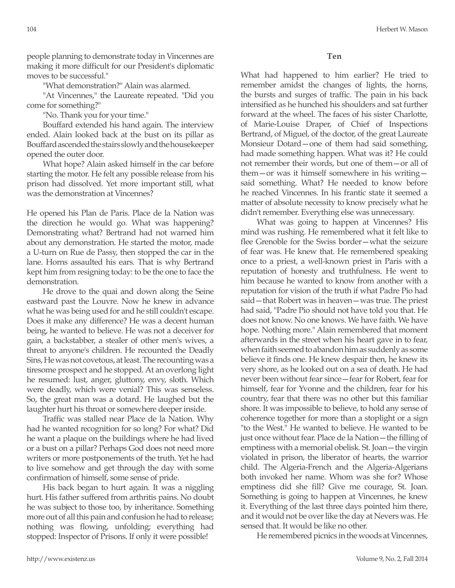people planning to demonstrate today in Vincennes are making it more difficult for our President's diplomatic moves to be successful."

"What demonstration?" Alain was alarmed.

"At Vincennes," the Laureate repeated. "Did you come for something?"

"No. Thank you for your time."

Bouffard extended his hand again. The interview ended. Alain looked back at the bust on its pillar as Bouffard ascended the stairs slowly and the housekeeper opened the outer door.

What hope? Alain asked himself in the car before starting the motor. He felt any possible release from his prison had dissolved. Yet more important still, what was the demonstration at Vincennes?

He opened his Plan de Paris. Place de la Nation was the direction he would go. What was happening? Demonstrating what? Bertrand had not warned him about any demonstration. He started the motor, made a U-turn on Rue de Passy, then stopped the car in the lane. Horns assaulted his ears. That is why Bertrand kept him from resigning today: to be the one to face the demonstration.

He drove to the quai and down along the Seine eastward past the Louvre. Now he knew in advance what he was being used for and he still couldn't escape. Does it make any difference? He was a decent human being, he wanted to believe. He was not a deceiver for gain, a backstabber, a stealer of other men's wives, a threat to anyone's children. He recounted the Deadly Sins, He was not covetous, at least. The recounting was a tiresome prospect and he stopped. At an overlong light he resumed: lust, anger, gluttony, envy, sloth. Which were deadly, which were venial? This was senseless. So, the great man was a dotard. He laughed but the laughter hurt his throat or somewhere deeper inside.

Traffic was stalled near Place de la Nation. Why had he wanted recognition for so long? For what? Did he want a plaque on the buildings where he had lived or a bust on a pillar? Perhaps God does not need more writers or more postponements of the truth. Yet he had to live somehow and get through the day with some confirmation of himself, some sense of pride.

His back began to hurt again. It was a niggling hurt. His father suffered from arthritis pains. No doubt he was subject to those too, by inheritance. Something more out of all this pain and confusion he had to release; nothing was flowing, unfolding; everything had stopped: Inspector of Prisons. If only it were possible!

What had happened to him earlier? He tried to remember amidst the changes of lights, the horns, the bursts and surges of traffic. The pain in his back intensified as he hunched his shoulders and sat further forward at the wheel. The faces of his sister Charlotte, of Marie-Louise Draper, of Chief of Inspections Bertrand, of Miguel, of the doctor, of the great Laureate Monsieur Dotard—one of them had said something, had made something happen. What was it? He could not remember their words, but one of them—or all of them—or was it himself somewhere in his writing said something. What? He needed to know before he reached Vincennes. In his frantic state it seemed a matter of absolute necessity to know precisely what he didn't remember. Everything else was unnecessary.

What was going to happen at Vincennes? His mind was rushing. He remembered what it felt like to flee Grenoble for the Swiss border—what the seizure of fear was. He knew that. He remembered speaking once to a priest, a well-known priest in Paris with a reputation of honesty and truthfulness. He went to him because he wanted to know from another with a reputation for vision of the truth if what Padre Pio had said—that Robert was in heaven—was true. The priest had said, "Padre Pio should not have told you that. He does not know. No one knows. We have faith. We have hope. Nothing more." Alain remembered that moment afterwards in the street when his heart gave in to fear, when faith seemed to abandon him as suddenly as some believe it finds one. He knew despair then, he knew its very shore, as he looked out on a sea of death. He had never been without fear since—fear for Robert, fear for himself, fear for Yvonne and the children, fear for his country, fear that there was no other but this familiar shore. It was impossible to believe, to hold any sense of coherence together for more than a stoplight or a sign "to the West." He wanted to believe. He wanted to be just once without fear. Place de la Nation—the filling of emptiness with a memorial obelisk. St. Joan—the virgin violated in prison, the liberator of hearts, the warrior child. The Algeria-French and the Algeria-Algerians both invoked her name. Whom was she for? Whose emptiness did she fill? Give me courage, St. Joan. Something is going to happen at Vincennes, he knew it. Everything of the last three days pointed him there, and it would not be over like the day at Nevers was. He sensed that. It would be like no other.

He remembered picnics in the woods at Vincennes,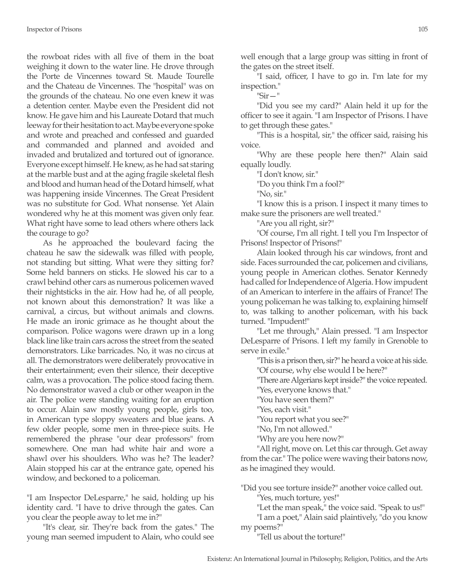the rowboat rides with all five of them in the boat weighing it down to the water line. He drove through the Porte de Vincennes toward St. Maude Tourelle and the Chateau de Vincennes. The "hospital" was on the grounds of the chateau. No one even knew it was a detention center. Maybe even the President did not know. He gave him and his Laureate Dotard that much leeway for their hesitation to act. Maybe everyone spoke and wrote and preached and confessed and guarded and commanded and planned and avoided and invaded and brutalized and tortured out of ignorance. Everyone except himself. He knew, as he had sat staring at the marble bust and at the aging fragile skeletal flesh and blood and human head of the Dotard himself, what was happening inside Vincennes. The Great President was no substitute for God. What nonsense. Yet Alain wondered why he at this moment was given only fear. What right have some to lead others where others lack the courage to go?

As he approached the boulevard facing the chateau he saw the sidewalk was filled with people, not standing but sitting. What were they sitting for? Some held banners on sticks. He slowed his car to a crawl behind other cars as numerous policemen waved their nightsticks in the air. How had he, of all people, not known about this demonstration? It was like a carnival, a circus, but without animals and clowns. He made an ironic grimace as he thought about the comparison. Police wagons were drawn up in a long black line like train cars across the street from the seated demonstrators. Like barricades. No, it was no circus at all. The demonstrators were deliberately provocative in their entertainment; even their silence, their deceptive calm, was a provocation. The police stood facing them. No demonstrator waved a club or other weapon in the air. The police were standing waiting for an eruption to occur. Alain saw mostly young people, girls too, in American type sloppy sweaters and blue jeans. A few older people, some men in three-piece suits. He remembered the phrase "our dear professors" from somewhere. One man had white hair and wore a shawl over his shoulders. Who was he? The leader? Alain stopped his car at the entrance gate, opened his window, and beckoned to a policeman.

"I am Inspector DeLesparre," he said, holding up his identity card. "I have to drive through the gates. Can you clear the people away to let me in?"

"It's clear, sir. They're back from the gates." The young man seemed impudent to Alain, who could see well enough that a large group was sitting in front of the gates on the street itself.

"I said, officer, I have to go in. I'm late for my inspection."

"Sir—"

"Did you see my card?" Alain held it up for the officer to see it again. "I am Inspector of Prisons. I have to get through these gates."

"This is a hospital, sir," the officer said, raising his voice.

"Why are these people here then?" Alain said equally loudly.

"I don't know, sir."

"Do you think I'm a fool?"

"No, sir."

"I know this is a prison. I inspect it many times to make sure the prisoners are well treated."

"Are you all right, sir?"

"Of course, I'm all right. I tell you I'm Inspector of Prisons! Inspector of Prisons!"

Alain looked through his car windows, front and side. Faces surrounded the car, policemen and civilians, young people in American clothes. Senator Kennedy had called for Independence of Algeria. How impudent of an American to interfere in the affairs of France! The young policeman he was talking to, explaining himself to, was talking to another policeman, with his back turned. "Impudent!"

"Let me through," Alain pressed. "I am Inspector DeLesparre of Prisons. I left my family in Grenoble to serve in exile."

"This is a prison then, sir?" he heard a voice at his side.

"Of course, why else would I be here?"

"There are Algerians kept inside?" the voice repeated.

"Yes, everyone knows that."

"You have seen them?"

"Yes, each visit."

"You report what you see?"

"No, I'm not allowed."

"Why are you here now?"

"All right, move on. Let this car through. Get away from the car." The police were waving their batons now, as he imagined they would.

"Did you see torture inside?" another voice called out.

"Yes, much torture, yes!"

"Let the man speak," the voice said. "Speak to us!"

"I am a poet," Alain said plaintively, "do you know my poems?"

"Tell us about the torture!"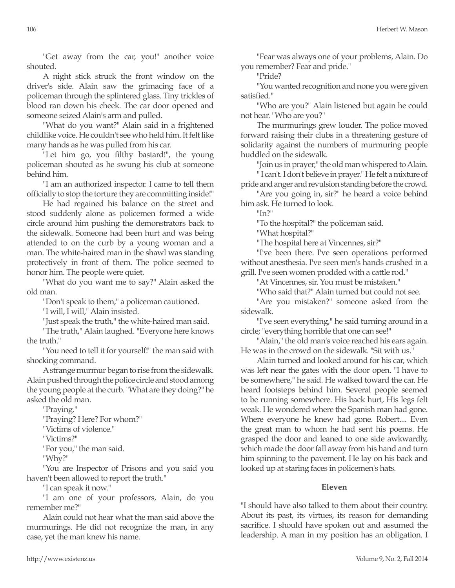"Get away from the car, you!" another voice shouted.

A night stick struck the front window on the driver's side. Alain saw the grimacing face of a policeman through the splintered glass. Tiny trickles of blood ran down his cheek. The car door opened and someone seized Alain's arm and pulled.

"What do you want?" Alain said in a frightened childlike voice. He couldn't see who held him. It felt like many hands as he was pulled from his car.

"Let him go, you filthy bastard!", the young policeman shouted as he swung his club at someone behind him.

"I am an authorized inspector. I came to tell them officially to stop the torture they are committing inside!"

He had regained his balance on the street and stood suddenly alone as policemen formed a wide circle around him pushing the demonstrators back to the sidewalk. Someone had been hurt and was being attended to on the curb by a young woman and a man. The white-haired man in the shawl was standing protectively in front of them. The police seemed to honor him. The people were quiet.

"What do you want me to say?" Alain asked the old man.

"Don't speak to them," a policeman cautioned.

"I will, I will," Alain insisted.

"Just speak the truth," the white-haired man said.

"The truth," Alain laughed. "Everyone here knows the truth."

"You need to tell it for yourself!" the man said with shocking command.

A strange murmur began to rise from the sidewalk. Alain pushed through the police circle and stood among the young people at the curb. "What are they doing?" he asked the old man.

"Praying."

"Praying? Here? For whom?"

"Victims of violence."

"Victims?"

"For you," the man said.

"Why?"

"You are Inspector of Prisons and you said you haven't been allowed to report the truth."

"I can speak it now."

"I am one of your professors, Alain, do you remember me?"

Alain could not hear what the man said above the murmurings. He did not recognize the man, in any case, yet the man knew his name.

"Fear was always one of your problems, Alain. Do you remember? Fear and pride."

"Pride?

"You wanted recognition and none you were given satisfied."

"Who are you?" Alain listened but again he could not hear. "Who are you?"

The murmurings grew louder. The police moved forward raising their clubs in a threatening gesture of solidarity against the numbers of murmuring people huddled on the sidewalk.

"Join us in prayer," the old man whispered to Alain. " I can't. I don't believe in prayer." He felt a mixture of

pride and anger and revulsion standing before the crowd. "Are you going in, sir?" he heard a voice behind

him ask. He turned to look.

 $"In?"$ 

"To the hospital?" the policeman said.

"What hospital?"

"The hospital here at Vincennes, sir?"

"I've been there. I've seen operations performed without anesthesia. I've seen men's hands crushed in a grill. I've seen women prodded with a cattle rod."

"At Vincennes, sir. You must be mistaken."

"Who said that?" Alain turned but could not see.

"Are you mistaken?" someone asked from the sidewalk.

"I've seen everything," he said turning around in a circle; "everything horrible that one can see!"

"Alain," the old man's voice reached his ears again. He was in the crowd on the sidewalk. "Sit with us."

Alain turned and looked around for his car, which was left near the gates with the door open. "I have to be somewhere," he said. He walked toward the car. He heard footsteps behind him. Several people seemed to be running somewhere. His back hurt, His legs felt weak. He wondered where the Spanish man had gone. Where everyone he knew had gone. Robert.... Even the great man to whom he had sent his poems. He grasped the door and leaned to one side awkwardly, which made the door fall away from his hand and turn him spinning to the pavement. He lay on his back and looked up at staring faces in policemen's hats.

# **Eleven**

"I should have also talked to them about their country. About its past, its virtues, its reason for demanding sacrifice. I should have spoken out and assumed the leadership. A man in my position has an obligation. I